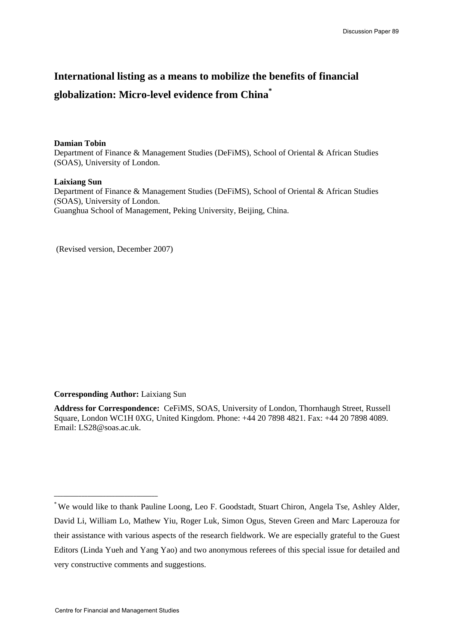# **International listing as a means to mobilize the benefits of financial globalization: Micro-level evidence from China\***

#### **Damian Tobin**

Department of Finance & Management Studies (DeFiMS), School of Oriental & African Studies (SOAS), University of London.

#### **Laixiang Sun**

Department of Finance & Management Studies (DeFiMS), School of Oriental & African Studies (SOAS), University of London. Guanghua School of Management, Peking University, Beijing, China.

(Revised version, December 2007)

#### **Corresponding Author:** Laixiang Sun

**\_\_\_\_\_\_\_\_\_\_\_\_\_\_\_\_\_\_\_\_\_\_\_\_\_\_\_\_\_\_\_\_\_\_** 

**Address for Correspondence:** CeFiMS, SOAS, University of London, Thornhaugh Street, Russell Square, London WC1H 0XG, United Kingdom. Phone: +44 20 7898 4821. Fax: +44 20 7898 4089. Email: LS28@soas.ac.uk.

<sup>\*</sup> We would like to thank Pauline Loong, Leo F. Goodstadt, Stuart Chiron, Angela Tse, Ashley Alder, David Li, William Lo, Mathew Yiu, Roger Luk, Simon Ogus, Steven Green and Marc Laperouza for their assistance with various aspects of the research fieldwork. We are especially grateful to the Guest Editors (Linda Yueh and Yang Yao) and two anonymous referees of this special issue for detailed and very constructive comments and suggestions.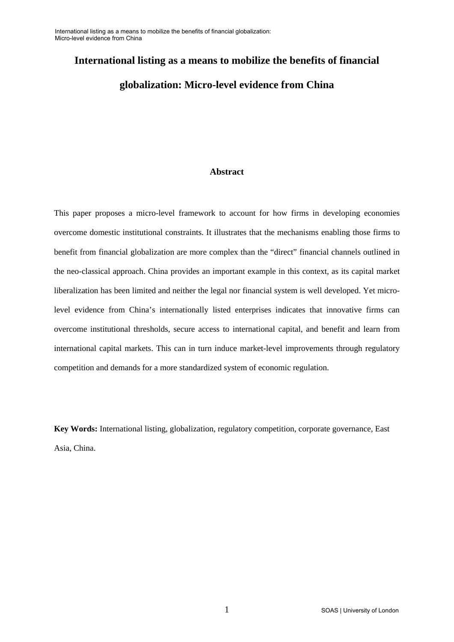# **International listing as a means to mobilize the benefits of financial globalization: Micro-level evidence from China**

### **Abstract**

This paper proposes a micro-level framework to account for how firms in developing economies overcome domestic institutional constraints. It illustrates that the mechanisms enabling those firms to benefit from financial globalization are more complex than the "direct" financial channels outlined in the neo-classical approach. China provides an important example in this context, as its capital market liberalization has been limited and neither the legal nor financial system is well developed. Yet microlevel evidence from China's internationally listed enterprises indicates that innovative firms can overcome institutional thresholds, secure access to international capital, and benefit and learn from international capital markets. This can in turn induce market-level improvements through regulatory competition and demands for a more standardized system of economic regulation.

**Key Words:** International listing, globalization, regulatory competition, corporate governance, East Asia, China.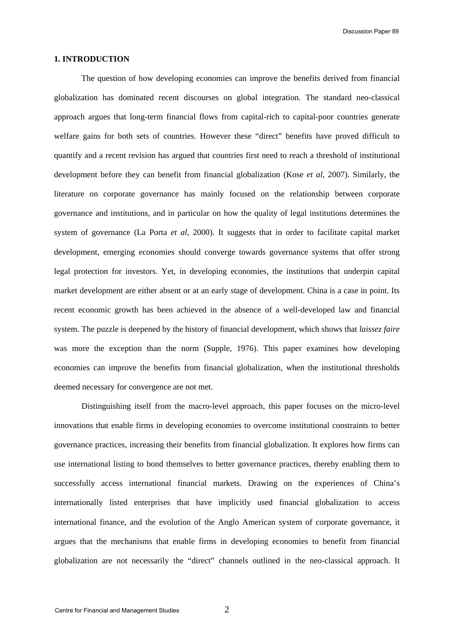Discussion Paper 89

#### **1. INTRODUCTION**

The question of how developing economies can improve the benefits derived from financial globalization has dominated recent discourses on global integration. The standard neo-classical approach argues that long-term financial flows from capital-rich to capital-poor countries generate welfare gains for both sets of countries. However these "direct" benefits have proved difficult to quantify and a recent revision has argued that countries first need to reach a threshold of institutional development before they can benefit from financial globalization (Kose *et al*, 2007). Similarly, the literature on corporate governance has mainly focused on the relationship between corporate governance and institutions, and in particular on how the quality of legal institutions determines the system of governance (La Porta *et al*, 2000). It suggests that in order to facilitate capital market development, emerging economies should converge towards governance systems that offer strong legal protection for investors. Yet, in developing economies, the institutions that underpin capital market development are either absent or at an early stage of development. China is a case in point. Its recent economic growth has been achieved in the absence of a well-developed law and financial system. The puzzle is deepened by the history of financial development, which shows that *laissez faire* was more the exception than the norm (Supple, 1976). This paper examines how developing economies can improve the benefits from financial globalization, when the institutional thresholds deemed necessary for convergence are not met.

Distinguishing itself from the macro-level approach, this paper focuses on the micro-level innovations that enable firms in developing economies to overcome institutional constraints to better governance practices, increasing their benefits from financial globalization. It explores how firms can use international listing to bond themselves to better governance practices, thereby enabling them to successfully access international financial markets. Drawing on the experiences of China's internationally listed enterprises that have implicitly used financial globalization to access international finance, and the evolution of the Anglo American system of corporate governance, it argues that the mechanisms that enable firms in developing economies to benefit from financial globalization are not necessarily the "direct" channels outlined in the neo-classical approach. It

2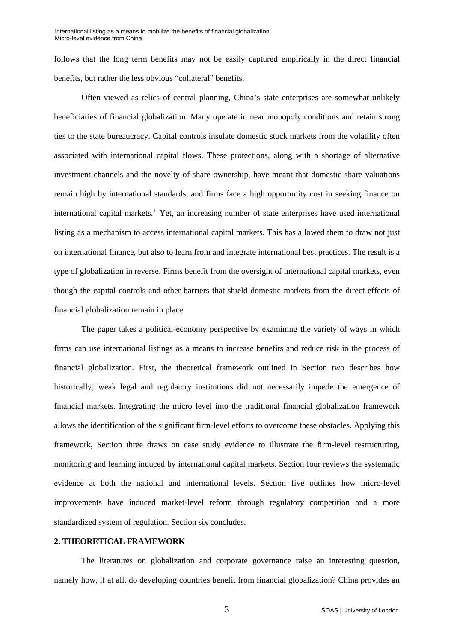follows that the long term benefits may not be easily captured empirically in the direct financial benefits, but rather the less obvious "collateral" benefits.

Often viewed as relics of central planning, China's state enterprises are somewhat unlikely beneficiaries of financial globalization. Many operate in near monopoly conditions and retain strong ties to the state bureaucracy. Capital controls insulate domestic stock markets from the volatility often associated with international capital flows. These protections, along with a shortage of alternative investment channels and the novelty of share ownership, have meant that domestic share valuations remain high by international standards, and firms face a high opportunity cost in seeking finance on international capital markets.<sup>[1](#page-36-0)</sup> Yet, an increasing number of state enterprises have used international listing as a mechanism to access international capital markets. This has allowed them to draw not just on international finance, but also to learn from and integrate international best practices. The result is a type of globalization in reverse. Firms benefit from the oversight of international capital markets, even though the capital controls and other barriers that shield domestic markets from the direct effects of financial globalization remain in place.

The paper takes a political-economy perspective by examining the variety of ways in which firms can use international listings as a means to increase benefits and reduce risk in the process of financial globalization. First, the theoretical framework outlined in Section two describes how historically; weak legal and regulatory institutions did not necessarily impede the emergence of financial markets. Integrating the micro level into the traditional financial globalization framework allows the identification of the significant firm-level efforts to overcome these obstacles. Applying this framework, Section three draws on case study evidence to illustrate the firm-level restructuring, monitoring and learning induced by international capital markets. Section four reviews the systematic evidence at both the national and international levels. Section five outlines how micro-level improvements have induced market-level reform through regulatory competition and a more standardized system of regulation. Section six concludes.

#### **2. THEORETICAL FRAMEWORK**

The literatures on globalization and corporate governance raise an interesting question, namely how, if at all, do developing countries benefit from financial globalization? China provides an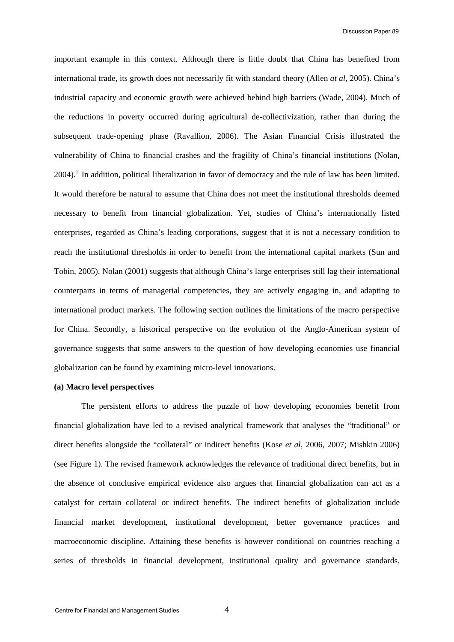important example in this context. Although there is little doubt that China has benefited from international trade, its growth does not necessarily fit with standard theory (Allen *at al*, 2005). China's industrial capacity and economic growth were achieved behind high barriers (Wade, 2004). Much of the reductions in poverty occurred during agricultural de-collectivization, rather than during the subsequent trade-opening phase (Ravallion, 2006). The Asian Financial Crisis illustrated the vulnerability of China to financial crashes and the fragility of China's financial institutions (Nolan,  $2004$  $2004$ ).<sup>2</sup> In addition, political liberalization in favor of democracy and the rule of law has been limited. It would therefore be natural to assume that China does not meet the institutional thresholds deemed necessary to benefit from financial globalization. Yet, studies of China's internationally listed enterprises, regarded as China's leading corporations, suggest that it is not a necessary condition to reach the institutional thresholds in order to benefit from the international capital markets (Sun and Tobin, 2005). Nolan (2001) suggests that although China's large enterprises still lag their international counterparts in terms of managerial competencies, they are actively engaging in, and adapting to international product markets. The following section outlines the limitations of the macro perspective for China. Secondly, a historical perspective on the evolution of the Anglo-American system of governance suggests that some answers to the question of how developing economies use financial globalization can be found by examining micro-level innovations.

#### **(a) Macro level perspectives**

The persistent efforts to address the puzzle of how developing economies benefit from financial globalization have led to a revised analytical framework that analyses the "traditional" or direct benefits alongside the "collateral" or indirect benefits (Kose *et al*, 2006, 2007; Mishkin 2006) (see Figure 1). The revised framework acknowledges the relevance of traditional direct benefits, but in the absence of conclusive empirical evidence also argues that financial globalization can act as a catalyst for certain collateral or indirect benefits. The indirect benefits of globalization include financial market development, institutional development, better governance practices and macroeconomic discipline. Attaining these benefits is however conditional on countries reaching a series of thresholds in financial development, institutional quality and governance standards.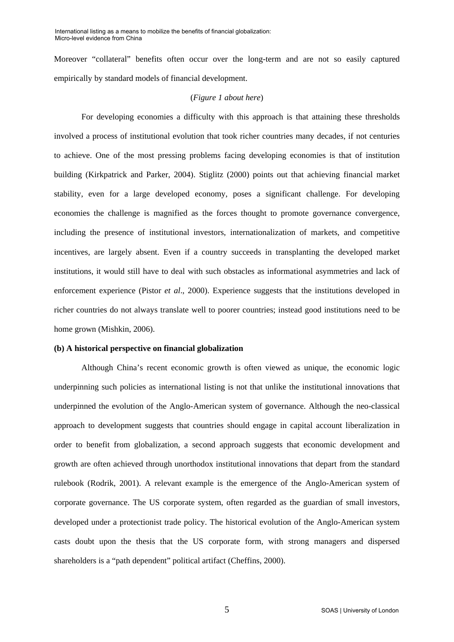Moreover "collateral" benefits often occur over the long-term and are not so easily captured empirically by standard models of financial development.

#### (*Figure 1 about here*)

For developing economies a difficulty with this approach is that attaining these thresholds involved a process of institutional evolution that took richer countries many decades, if not centuries to achieve. One of the most pressing problems facing developing economies is that of institution building (Kirkpatrick and Parker, 2004). Stiglitz (2000) points out that achieving financial market stability, even for a large developed economy, poses a significant challenge. For developing economies the challenge is magnified as the forces thought to promote governance convergence, including the presence of institutional investors, internationalization of markets, and competitive incentives, are largely absent. Even if a country succeeds in transplanting the developed market institutions, it would still have to deal with such obstacles as informational asymmetries and lack of enforcement experience (Pistor *et al*., 2000). Experience suggests that the institutions developed in richer countries do not always translate well to poorer countries; instead good institutions need to be home grown (Mishkin, 2006).

#### **(b) A historical perspective on financial globalization**

Although China's recent economic growth is often viewed as unique, the economic logic underpinning such policies as international listing is not that unlike the institutional innovations that underpinned the evolution of the Anglo-American system of governance. Although the neo-classical approach to development suggests that countries should engage in capital account liberalization in order to benefit from globalization, a second approach suggests that economic development and growth are often achieved through unorthodox institutional innovations that depart from the standard rulebook (Rodrik, 2001). A relevant example is the emergence of the Anglo-American system of corporate governance. The US corporate system, often regarded as the guardian of small investors, developed under a protectionist trade policy. The historical evolution of the Anglo-American system casts doubt upon the thesis that the US corporate form, with strong managers and dispersed shareholders is a "path dependent" political artifact (Cheffins, 2000).

5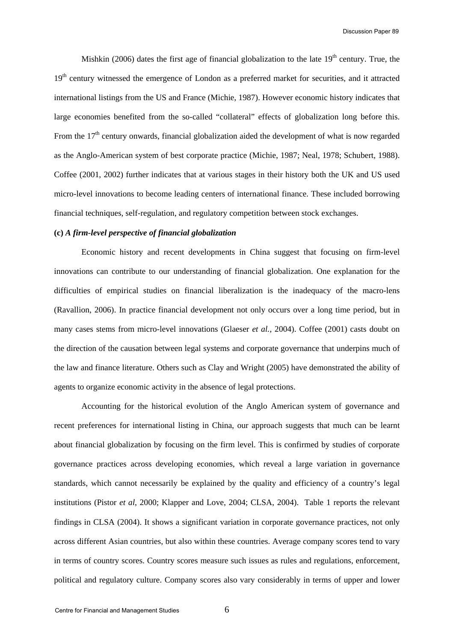Mishkin (2006) dates the first age of financial globalization to the late  $19<sup>th</sup>$  century. True, the 19<sup>th</sup> century witnessed the emergence of London as a preferred market for securities, and it attracted international listings from the US and France (Michie, 1987). However economic history indicates that large economies benefited from the so-called "collateral" effects of globalization long before this. From the  $17<sup>th</sup>$  century onwards, financial globalization aided the development of what is now regarded as the Anglo-American system of best corporate practice (Michie, 1987; Neal, 1978; Schubert, 1988). Coffee (2001, 2002) further indicates that at various stages in their history both the UK and US used micro-level innovations to become leading centers of international finance. These included borrowing financial techniques, self-regulation, and regulatory competition between stock exchanges.

#### **(c)** *A firm-level perspective of financial globalization*

Economic history and recent developments in China suggest that focusing on firm-level innovations can contribute to our understanding of financial globalization. One explanation for the difficulties of empirical studies on financial liberalization is the inadequacy of the macro-lens (Ravallion, 2006). In practice financial development not only occurs over a long time period, but in many cases stems from micro-level innovations (Glaeser *et al.*, 2004). Coffee (2001) casts doubt on the direction of the causation between legal systems and corporate governance that underpins much of the law and finance literature. Others such as Clay and Wright (2005) have demonstrated the ability of agents to organize economic activity in the absence of legal protections.

Accounting for the historical evolution of the Anglo American system of governance and recent preferences for international listing in China, our approach suggests that much can be learnt about financial globalization by focusing on the firm level. This is confirmed by studies of corporate governance practices across developing economies, which reveal a large variation in governance standards, which cannot necessarily be explained by the quality and efficiency of a country's legal institutions (Pistor *et al*, 2000; Klapper and Love, 2004; CLSA, 2004). Table 1 reports the relevant findings in CLSA (2004). It shows a significant variation in corporate governance practices, not only across different Asian countries, but also within these countries. Average company scores tend to vary in terms of country scores. Country scores measure such issues as rules and regulations, enforcement, political and regulatory culture. Company scores also vary considerably in terms of upper and lower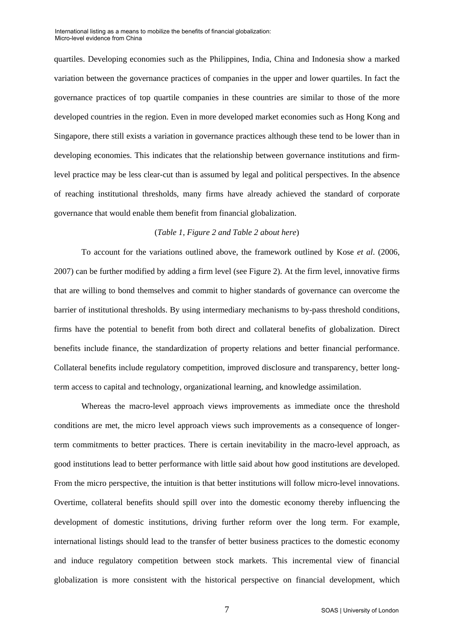quartiles. Developing economies such as the Philippines, India, China and Indonesia show a marked variation between the governance practices of companies in the upper and lower quartiles. In fact the governance practices of top quartile companies in these countries are similar to those of the more developed countries in the region. Even in more developed market economies such as Hong Kong and Singapore, there still exists a variation in governance practices although these tend to be lower than in developing economies. This indicates that the relationship between governance institutions and firmlevel practice may be less clear-cut than is assumed by legal and political perspectives. In the absence of reaching institutional thresholds, many firms have already achieved the standard of corporate governance that would enable them benefit from financial globalization.

#### (*Table 1, Figure 2 and Table 2 about here*)

To account for the variations outlined above, the framework outlined by Kose *et al*. (2006, 2007) can be further modified by adding a firm level (see Figure 2). At the firm level, innovative firms that are willing to bond themselves and commit to higher standards of governance can overcome the barrier of institutional thresholds. By using intermediary mechanisms to by-pass threshold conditions, firms have the potential to benefit from both direct and collateral benefits of globalization. Direct benefits include finance, the standardization of property relations and better financial performance. Collateral benefits include regulatory competition, improved disclosure and transparency, better longterm access to capital and technology, organizational learning, and knowledge assimilation.

Whereas the macro-level approach views improvements as immediate once the threshold conditions are met, the micro level approach views such improvements as a consequence of longerterm commitments to better practices. There is certain inevitability in the macro-level approach, as good institutions lead to better performance with little said about how good institutions are developed. From the micro perspective, the intuition is that better institutions will follow micro-level innovations. Overtime, collateral benefits should spill over into the domestic economy thereby influencing the development of domestic institutions, driving further reform over the long term. For example, international listings should lead to the transfer of better business practices to the domestic economy and induce regulatory competition between stock markets. This incremental view of financial globalization is more consistent with the historical perspective on financial development, which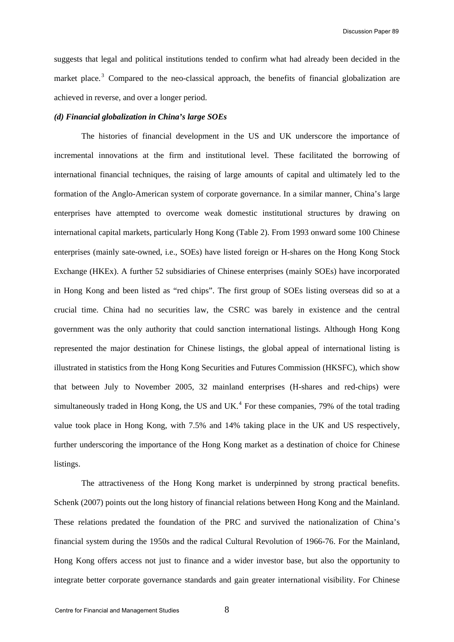Discussion Paper 89

suggests that legal and political institutions tended to confirm what had already been decided in the market place.<sup>[3](#page-36-1)</sup> Compared to the neo-classical approach, the benefits of financial globalization are achieved in reverse, and over a longer period.

#### *(d) Financial globalization in China's large SOEs*

The histories of financial development in the US and UK underscore the importance of incremental innovations at the firm and institutional level. These facilitated the borrowing of international financial techniques, the raising of large amounts of capital and ultimately led to the formation of the Anglo-American system of corporate governance. In a similar manner, China's large enterprises have attempted to overcome weak domestic institutional structures by drawing on international capital markets, particularly Hong Kong (Table 2). From 1993 onward some 100 Chinese enterprises (mainly sate-owned, i.e., SOEs) have listed foreign or H-shares on the Hong Kong Stock Exchange (HKEx). A further 52 subsidiaries of Chinese enterprises (mainly SOEs) have incorporated in Hong Kong and been listed as "red chips". The first group of SOEs listing overseas did so at a crucial time. China had no securities law, the CSRC was barely in existence and the central government was the only authority that could sanction international listings. Although Hong Kong represented the major destination for Chinese listings, the global appeal of international listing is illustrated in statistics from the Hong Kong Securities and Futures Commission (HKSFC), which show that between July to November 2005, 32 mainland enterprises (H-shares and red-chips) were simultaneously traded in Hong Kong, the US and UK.<sup>[4](#page-36-1)</sup> For these companies, 79% of the total trading value took place in Hong Kong, with 7.5% and 14% taking place in the UK and US respectively, further underscoring the importance of the Hong Kong market as a destination of choice for Chinese listings.

The attractiveness of the Hong Kong market is underpinned by strong practical benefits. Schenk (2007) points out the long history of financial relations between Hong Kong and the Mainland. These relations predated the foundation of the PRC and survived the nationalization of China's financial system during the 1950s and the radical Cultural Revolution of 1966-76. For the Mainland, Hong Kong offers access not just to finance and a wider investor base, but also the opportunity to integrate better corporate governance standards and gain greater international visibility. For Chinese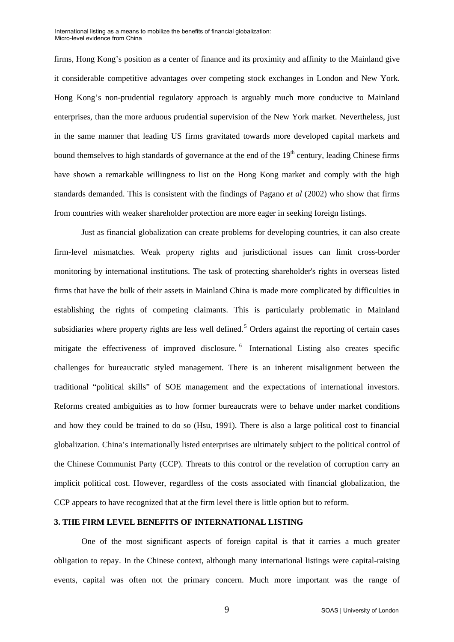International listing as a means to mobilize the benefits of financial globalization: Micro-level evidence from China

firms, Hong Kong's position as a center of finance and its proximity and affinity to the Mainland give it considerable competitive advantages over competing stock exchanges in London and New York. Hong Kong's non-prudential regulatory approach is arguably much more conducive to Mainland enterprises, than the more arduous prudential supervision of the New York market. Nevertheless, just in the same manner that leading US firms gravitated towards more developed capital markets and bound themselves to high standards of governance at the end of the  $19<sup>th</sup>$  century, leading Chinese firms have shown a remarkable willingness to list on the Hong Kong market and comply with the high standards demanded. This is consistent with the findings of Pagano *et al* (2002) who show that firms from countries with weaker shareholder protection are more eager in seeking foreign listings.

Just as financial globalization can create problems for developing countries, it can also create firm-level mismatches. Weak property rights and jurisdictional issues can limit cross-border monitoring by international institutions. The task of protecting shareholder's rights in overseas listed firms that have the bulk of their assets in Mainland China is made more complicated by difficulties in establishing the rights of competing claimants. This is particularly problematic in Mainland subsidiaries where property rights are less well defined.<sup>[5](#page-36-1)</sup> Orders against the reporting of certain cases mitigate the effectiveness of improved disclosure.<sup>[6](#page-36-1)</sup> International Listing also creates specific challenges for bureaucratic styled management. There is an inherent misalignment between the traditional "political skills" of SOE management and the expectations of international investors. Reforms created ambiguities as to how former bureaucrats were to behave under market conditions and how they could be trained to do so (Hsu, 1991). There is also a large political cost to financial globalization. China's internationally listed enterprises are ultimately subject to the political control of the Chinese Communist Party (CCP). Threats to this control or the revelation of corruption carry an implicit political cost. However, regardless of the costs associated with financial globalization, the CCP appears to have recognized that at the firm level there is little option but to reform.

#### **3. THE FIRM LEVEL BENEFITS OF INTERNATIONAL LISTING**

One of the most significant aspects of foreign capital is that it carries a much greater obligation to repay. In the Chinese context, although many international listings were capital-raising events, capital was often not the primary concern. Much more important was the range of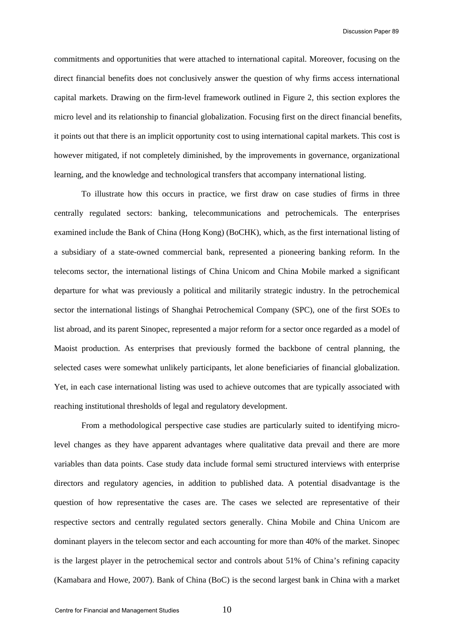commitments and opportunities that were attached to international capital. Moreover, focusing on the direct financial benefits does not conclusively answer the question of why firms access international capital markets. Drawing on the firm-level framework outlined in Figure 2, this section explores the micro level and its relationship to financial globalization. Focusing first on the direct financial benefits, it points out that there is an implicit opportunity cost to using international capital markets. This cost is however mitigated, if not completely diminished, by the improvements in governance, organizational learning, and the knowledge and technological transfers that accompany international listing.

To illustrate how this occurs in practice, we first draw on case studies of firms in three centrally regulated sectors: banking, telecommunications and petrochemicals. The enterprises examined include the Bank of China (Hong Kong) (BoCHK), which, as the first international listing of a subsidiary of a state-owned commercial bank, represented a pioneering banking reform. In the telecoms sector, the international listings of China Unicom and China Mobile marked a significant departure for what was previously a political and militarily strategic industry. In the petrochemical sector the international listings of Shanghai Petrochemical Company (SPC), one of the first SOEs to list abroad, and its parent Sinopec, represented a major reform for a sector once regarded as a model of Maoist production. As enterprises that previously formed the backbone of central planning, the selected cases were somewhat unlikely participants, let alone beneficiaries of financial globalization. Yet, in each case international listing was used to achieve outcomes that are typically associated with reaching institutional thresholds of legal and regulatory development.

From a methodological perspective case studies are particularly suited to identifying microlevel changes as they have apparent advantages where qualitative data prevail and there are more variables than data points. Case study data include formal semi structured interviews with enterprise directors and regulatory agencies, in addition to published data. A potential disadvantage is the question of how representative the cases are. The cases we selected are representative of their respective sectors and centrally regulated sectors generally. China Mobile and China Unicom are dominant players in the telecom sector and each accounting for more than 40% of the market. Sinopec is the largest player in the petrochemical sector and controls about 51% of China's refining capacity (Kamabara and Howe, 2007). Bank of China (BoC) is the second largest bank in China with a market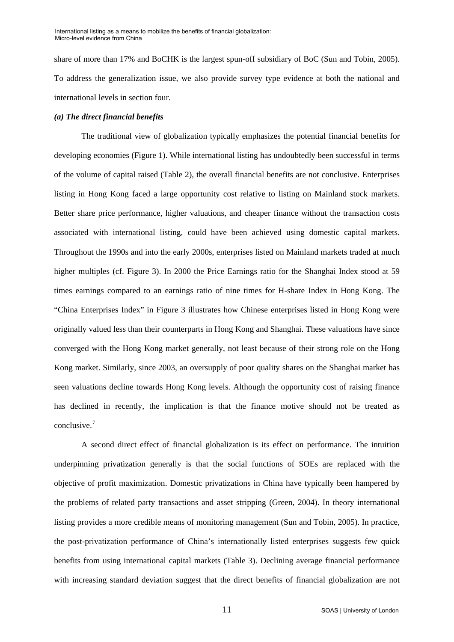share of more than 17% and BoCHK is the largest spun-off subsidiary of BoC (Sun and Tobin, 2005). To address the generalization issue, we also provide survey type evidence at both the national and international levels in section four.

#### *(a) The direct financial benefits*

The traditional view of globalization typically emphasizes the potential financial benefits for developing economies (Figure 1). While international listing has undoubtedly been successful in terms of the volume of capital raised (Table 2), the overall financial benefits are not conclusive. Enterprises listing in Hong Kong faced a large opportunity cost relative to listing on Mainland stock markets. Better share price performance, higher valuations, and cheaper finance without the transaction costs associated with international listing, could have been achieved using domestic capital markets. Throughout the 1990s and into the early 2000s, enterprises listed on Mainland markets traded at much higher multiples (cf. Figure 3). In 2000 the Price Earnings ratio for the Shanghai Index stood at 59 times earnings compared to an earnings ratio of nine times for H-share Index in Hong Kong. The "China Enterprises Index" in Figure 3 illustrates how Chinese enterprises listed in Hong Kong were originally valued less than their counterparts in Hong Kong and Shanghai. These valuations have since converged with the Hong Kong market generally, not least because of their strong role on the Hong Kong market. Similarly, since 2003, an oversupply of poor quality shares on the Shanghai market has seen valuations decline towards Hong Kong levels. Although the opportunity cost of raising finance has declined in recently, the implication is that the finance motive should not be treated as conclusive.<sup>[7](#page-36-1)</sup>

A second direct effect of financial globalization is its effect on performance. The intuition underpinning privatization generally is that the social functions of SOEs are replaced with the objective of profit maximization. Domestic privatizations in China have typically been hampered by the problems of related party transactions and asset stripping (Green, 2004). In theory international listing provides a more credible means of monitoring management (Sun and Tobin, 2005). In practice, the post-privatization performance of China's internationally listed enterprises suggests few quick benefits from using international capital markets (Table 3). Declining average financial performance with increasing standard deviation suggest that the direct benefits of financial globalization are not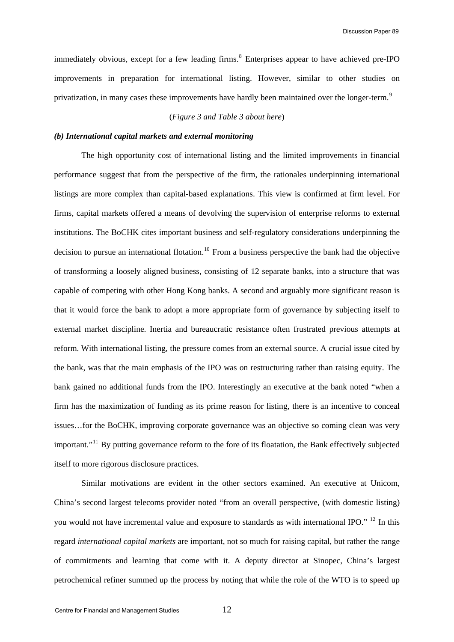Discussion Paper 89

immediately obvious, except for a few leading firms.<sup>[8](#page-36-1)</sup> Enterprises appear to have achieved pre-IPO improvements in preparation for international listing. However, similar to other studies on privatization, in many cases these improvements have hardly been maintained over the longer-term.<sup>[9](#page-36-1)</sup>

#### (*Figure 3 and Table 3 about here*)

#### *(b) International capital markets and external monitoring*

The high opportunity cost of international listing and the limited improvements in financial performance suggest that from the perspective of the firm, the rationales underpinning international listings are more complex than capital-based explanations. This view is confirmed at firm level. For firms, capital markets offered a means of devolving the supervision of enterprise reforms to external institutions. The BoCHK cites important business and self-regulatory considerations underpinning the decision to pursue an international flotation.<sup>[10](#page-36-1)</sup> From a business perspective the bank had the objective of transforming a loosely aligned business, consisting of 12 separate banks, into a structure that was capable of competing with other Hong Kong banks. A second and arguably more significant reason is that it would force the bank to adopt a more appropriate form of governance by subjecting itself to external market discipline. Inertia and bureaucratic resistance often frustrated previous attempts at reform. With international listing, the pressure comes from an external source. A crucial issue cited by the bank, was that the main emphasis of the IPO was on restructuring rather than raising equity. The bank gained no additional funds from the IPO. Interestingly an executive at the bank noted "when a firm has the maximization of funding as its prime reason for listing, there is an incentive to conceal issues…for the BoCHK, improving corporate governance was an objective so coming clean was very important."<sup>[11](#page-36-1)</sup> By putting governance reform to the fore of its floatation, the Bank effectively subjected itself to more rigorous disclosure practices.

Similar motivations are evident in the other sectors examined. An executive at Unicom, China's second largest telecoms provider noted "from an overall perspective, (with domestic listing) you would not have incremental value and exposure to standards as with international IPO." [12](#page-36-1) In this regard *international capital markets* are important, not so much for raising capital, but rather the range of commitments and learning that come with it. A deputy director at Sinopec, China's largest petrochemical refiner summed up the process by noting that while the role of the WTO is to speed up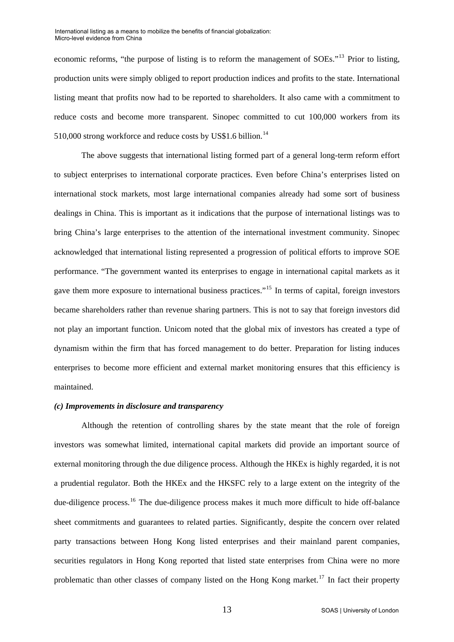economic reforms, "the purpose of listing is to reform the management of SOEs."[13](#page-36-1) Prior to listing, production units were simply obliged to report production indices and profits to the state. International listing meant that profits now had to be reported to shareholders. It also came with a commitment to reduce costs and become more transparent. Sinopec committed to cut 100,000 workers from its 510,000 strong workforce and reduce costs by US\$1.6 billion.<sup>[14](#page-36-1)</sup>

The above suggests that international listing formed part of a general long-term reform effort to subject enterprises to international corporate practices. Even before China's enterprises listed on international stock markets, most large international companies already had some sort of business dealings in China. This is important as it indications that the purpose of international listings was to bring China's large enterprises to the attention of the international investment community. Sinopec acknowledged that international listing represented a progression of political efforts to improve SOE performance. "The government wanted its enterprises to engage in international capital markets as it gave them more exposure to international business practices."[15](#page-36-1) In terms of capital, foreign investors became shareholders rather than revenue sharing partners. This is not to say that foreign investors did not play an important function. Unicom noted that the global mix of investors has created a type of dynamism within the firm that has forced management to do better. Preparation for listing induces enterprises to become more efficient and external market monitoring ensures that this efficiency is maintained.

#### *(c) Improvements in disclosure and transparency*

Although the retention of controlling shares by the state meant that the role of foreign investors was somewhat limited, international capital markets did provide an important source of external monitoring through the due diligence process. Although the HKEx is highly regarded, it is not a prudential regulator. Both the HKEx and the HKSFC rely to a large extent on the integrity of the due-diligence process.<sup>[16](#page-36-1)</sup> The due-diligence process makes it much more difficult to hide off-balance sheet commitments and guarantees to related parties. Significantly, despite the concern over related party transactions between Hong Kong listed enterprises and their mainland parent companies, securities regulators in Hong Kong reported that listed state enterprises from China were no more problematic than other classes of company listed on the Hong Kong market.<sup>[17](#page-36-1)</sup> In fact their property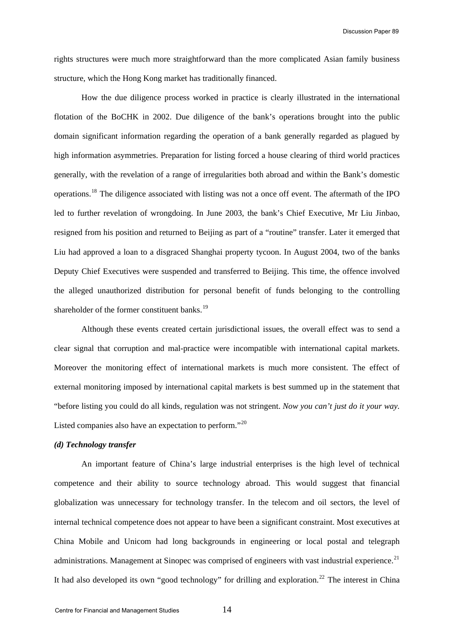rights structures were much more straightforward than the more complicated Asian family business structure, which the Hong Kong market has traditionally financed.

How the due diligence process worked in practice is clearly illustrated in the international flotation of the BoCHK in 2002. Due diligence of the bank's operations brought into the public domain significant information regarding the operation of a bank generally regarded as plagued by high information asymmetries. Preparation for listing forced a house clearing of third world practices generally, with the revelation of a range of irregularities both abroad and within the Bank's domestic operations.[18](#page-36-1) The diligence associated with listing was not a once off event. The aftermath of the IPO led to further revelation of wrongdoing. In June 2003, the bank's Chief Executive, Mr Liu Jinbao, resigned from his position and returned to Beijing as part of a "routine" transfer. Later it emerged that Liu had approved a loan to a disgraced Shanghai property tycoon. In August 2004, two of the banks Deputy Chief Executives were suspended and transferred to Beijing. This time, the offence involved the alleged unauthorized distribution for personal benefit of funds belonging to the controlling shareholder of the former constituent banks.<sup>[19](#page-36-1)</sup>

Although these events created certain jurisdictional issues, the overall effect was to send a clear signal that corruption and mal-practice were incompatible with international capital markets. Moreover the monitoring effect of international markets is much more consistent. The effect of external monitoring imposed by international capital markets is best summed up in the statement that "before listing you could do all kinds, regulation was not stringent. *Now you can't just do it your way.*  Listed companies also have an expectation to perform."<sup>[20](#page-36-1)</sup>

#### *(d) Technology transfer*

An important feature of China's large industrial enterprises is the high level of technical competence and their ability to source technology abroad. This would suggest that financial globalization was unnecessary for technology transfer. In the telecom and oil sectors, the level of internal technical competence does not appear to have been a significant constraint. Most executives at China Mobile and Unicom had long backgrounds in engineering or local postal and telegraph administrations. Management at Sinopec was comprised of engineers with vast industrial experience.<sup>[21](#page-36-1)</sup> It had also developed its own "good technology" for drilling and exploration.<sup>[22](#page-36-1)</sup> The interest in China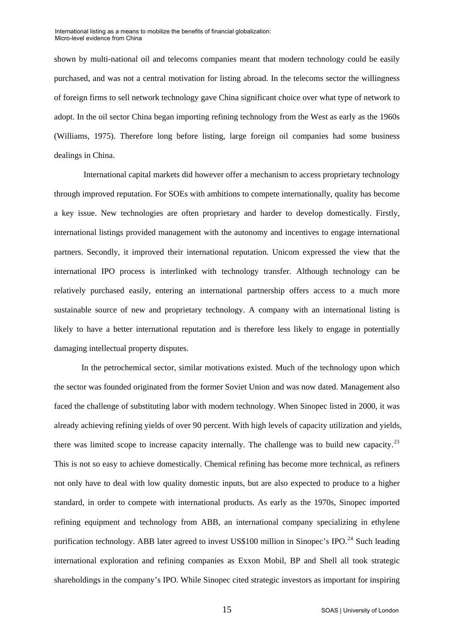shown by multi-national oil and telecoms companies meant that modern technology could be easily purchased, and was not a central motivation for listing abroad. In the telecoms sector the willingness of foreign firms to sell network technology gave China significant choice over what type of network to adopt. In the oil sector China began importing refining technology from the West as early as the 1960s (Williams, 1975). Therefore long before listing, large foreign oil companies had some business dealings in China.

 International capital markets did however offer a mechanism to access proprietary technology through improved reputation. For SOEs with ambitions to compete internationally, quality has become a key issue. New technologies are often proprietary and harder to develop domestically. Firstly, international listings provided management with the autonomy and incentives to engage international partners. Secondly, it improved their international reputation. Unicom expressed the view that the international IPO process is interlinked with technology transfer. Although technology can be relatively purchased easily, entering an international partnership offers access to a much more sustainable source of new and proprietary technology. A company with an international listing is likely to have a better international reputation and is therefore less likely to engage in potentially damaging intellectual property disputes.

In the petrochemical sector, similar motivations existed. Much of the technology upon which the sector was founded originated from the former Soviet Union and was now dated. Management also faced the challenge of substituting labor with modern technology. When Sinopec listed in 2000, it was already achieving refining yields of over 90 percent. With high levels of capacity utilization and yields, there was limited scope to increase capacity internally. The challenge was to build new capacity. $^{23}$  $^{23}$  $^{23}$ This is not so easy to achieve domestically. Chemical refining has become more technical, as refiners not only have to deal with low quality domestic inputs, but are also expected to produce to a higher standard, in order to compete with international products. As early as the 1970s, Sinopec imported refining equipment and technology from ABB, an international company specializing in ethylene purification technology. ABB later agreed to invest US\$100 million in Sinopec's IPO.<sup>[24](#page-36-1)</sup> Such leading international exploration and refining companies as Exxon Mobil, BP and Shell all took strategic shareholdings in the company's IPO. While Sinopec cited strategic investors as important for inspiring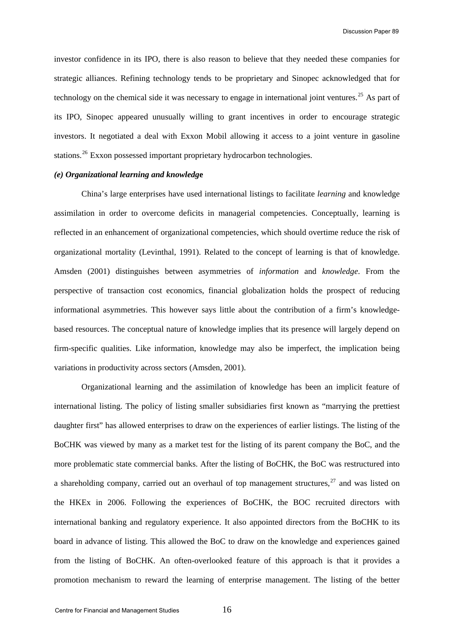investor confidence in its IPO, there is also reason to believe that they needed these companies for strategic alliances. Refining technology tends to be proprietary and Sinopec acknowledged that for technology on the chemical side it was necessary to engage in international joint ventures.<sup>[25](#page-36-1)</sup> As part of its IPO, Sinopec appeared unusually willing to grant incentives in order to encourage strategic investors. It negotiated a deal with Exxon Mobil allowing it access to a joint venture in gasoline stations.<sup>[26](#page-36-1)</sup> Exxon possessed important proprietary hydrocarbon technologies.

#### *(e) Organizational learning and knowledg***e**

China's large enterprises have used international listings to facilitate *learning* and knowledge assimilation in order to overcome deficits in managerial competencies. Conceptually, learning is reflected in an enhancement of organizational competencies, which should overtime reduce the risk of organizational mortality (Levinthal, 1991). Related to the concept of learning is that of knowledge. Amsden (2001) distinguishes between asymmetries of *information* and *knowledge*. From the perspective of transaction cost economics, financial globalization holds the prospect of reducing informational asymmetries. This however says little about the contribution of a firm's knowledgebased resources. The conceptual nature of knowledge implies that its presence will largely depend on firm-specific qualities. Like information, knowledge may also be imperfect, the implication being variations in productivity across sectors (Amsden, 2001).

Organizational learning and the assimilation of knowledge has been an implicit feature of international listing. The policy of listing smaller subsidiaries first known as "marrying the prettiest daughter first" has allowed enterprises to draw on the experiences of earlier listings. The listing of the BoCHK was viewed by many as a market test for the listing of its parent company the BoC, and the more problematic state commercial banks. After the listing of BoCHK, the BoC was restructured into a shareholding company, carried out an overhaul of top management structures,  $27$  and was listed on the HKEx in 2006. Following the experiences of BoCHK, the BOC recruited directors with international banking and regulatory experience. It also appointed directors from the BoCHK to its board in advance of listing. This allowed the BoC to draw on the knowledge and experiences gained from the listing of BoCHK. An often-overlooked feature of this approach is that it provides a promotion mechanism to reward the learning of enterprise management. The listing of the better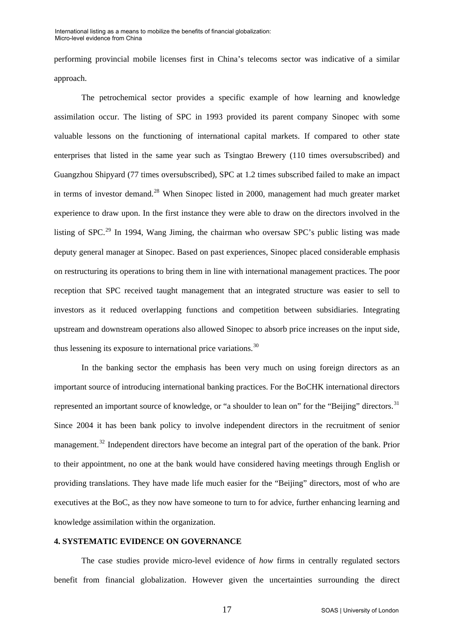performing provincial mobile licenses first in China's telecoms sector was indicative of a similar approach.

The petrochemical sector provides a specific example of how learning and knowledge assimilation occur. The listing of SPC in 1993 provided its parent company Sinopec with some valuable lessons on the functioning of international capital markets. If compared to other state enterprises that listed in the same year such as Tsingtao Brewery (110 times oversubscribed) and Guangzhou Shipyard (77 times oversubscribed), SPC at 1.2 times subscribed failed to make an impact in terms of investor demand.<sup>[28](#page-36-1)</sup> When Sinopec listed in 2000, management had much greater market experience to draw upon. In the first instance they were able to draw on the directors involved in the listing of SPC.<sup>[29](#page-36-1)</sup> In 1994, Wang Jiming, the chairman who oversaw SPC's public listing was made deputy general manager at Sinopec. Based on past experiences, Sinopec placed considerable emphasis on restructuring its operations to bring them in line with international management practices. The poor reception that SPC received taught management that an integrated structure was easier to sell to investors as it reduced overlapping functions and competition between subsidiaries. Integrating upstream and downstream operations also allowed Sinopec to absorb price increases on the input side, thus lessening its exposure to international price variations.  $30$ 

In the banking sector the emphasis has been very much on using foreign directors as an important source of introducing international banking practices. For the BoCHK international directors represented an important source of knowledge, or "a shoulder to lean on" for the "Beijing" directors.<sup>[31](#page-36-1)</sup> Since 2004 it has been bank policy to involve independent directors in the recruitment of senior management.<sup>[32](#page-36-1)</sup> Independent directors have become an integral part of the operation of the bank. Prior to their appointment, no one at the bank would have considered having meetings through English or providing translations. They have made life much easier for the "Beijing" directors, most of who are executives at the BoC, as they now have someone to turn to for advice, further enhancing learning and knowledge assimilation within the organization.

#### **4. SYSTEMATIC EVIDENCE ON GOVERNANCE**

The case studies provide micro-level evidence of *how* firms in centrally regulated sectors benefit from financial globalization. However given the uncertainties surrounding the direct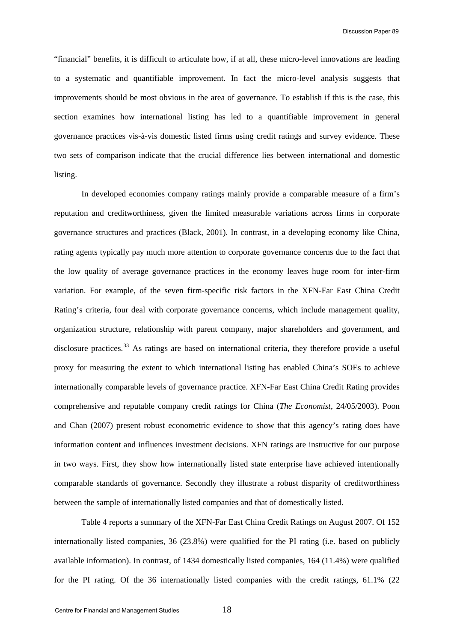"financial" benefits, it is difficult to articulate how, if at all, these micro-level innovations are leading to a systematic and quantifiable improvement. In fact the micro-level analysis suggests that improvements should be most obvious in the area of governance. To establish if this is the case, this section examines how international listing has led to a quantifiable improvement in general governance practices vis-à-vis domestic listed firms using credit ratings and survey evidence. These two sets of comparison indicate that the crucial difference lies between international and domestic listing.

In developed economies company ratings mainly provide a comparable measure of a firm's reputation and creditworthiness, given the limited measurable variations across firms in corporate governance structures and practices (Black, 2001). In contrast, in a developing economy like China, rating agents typically pay much more attention to corporate governance concerns due to the fact that the low quality of average governance practices in the economy leaves huge room for inter-firm variation. For example, of the seven firm-specific risk factors in the XFN-Far East China Credit Rating's criteria, four deal with corporate governance concerns, which include management quality, organization structure, relationship with parent company, major shareholders and government, and disclosure practices.<sup>[33](#page-36-1)</sup> As ratings are based on international criteria, they therefore provide a useful proxy for measuring the extent to which international listing has enabled China's SOEs to achieve internationally comparable levels of governance practice. XFN-Far East China Credit Rating provides comprehensive and reputable company credit ratings for China (*The Economist*, 24/05/2003). Poon and Chan (2007) present robust econometric evidence to show that this agency's rating does have information content and influences investment decisions. XFN ratings are instructive for our purpose in two ways. First, they show how internationally listed state enterprise have achieved intentionally comparable standards of governance. Secondly they illustrate a robust disparity of creditworthiness between the sample of internationally listed companies and that of domestically listed.

Table 4 reports a summary of the XFN-Far East China Credit Ratings on August 2007. Of 152 internationally listed companies, 36 (23.8%) were qualified for the PI rating (i.e. based on publicly available information). In contrast, of 1434 domestically listed companies, 164 (11.4%) were qualified for the PI rating. Of the 36 internationally listed companies with the credit ratings, 61.1% (22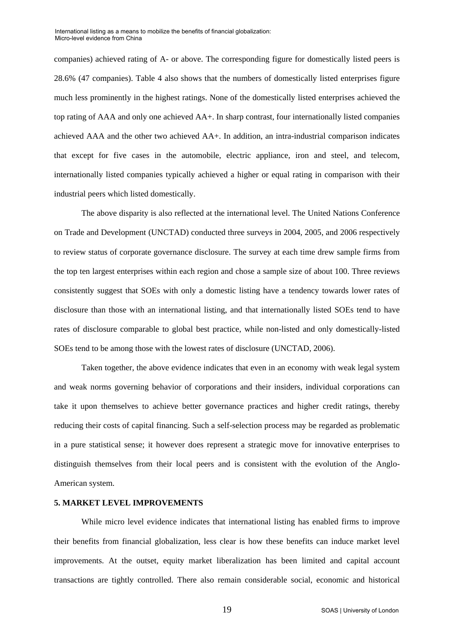International listing as a means to mobilize the benefits of financial globalization: Micro-level evidence from China

companies) achieved rating of A- or above. The corresponding figure for domestically listed peers is 28.6% (47 companies). Table 4 also shows that the numbers of domestically listed enterprises figure much less prominently in the highest ratings. None of the domestically listed enterprises achieved the top rating of AAA and only one achieved AA+. In sharp contrast, four internationally listed companies achieved AAA and the other two achieved AA+. In addition, an intra-industrial comparison indicates that except for five cases in the automobile, electric appliance, iron and steel, and telecom, internationally listed companies typically achieved a higher or equal rating in comparison with their industrial peers which listed domestically.

The above disparity is also reflected at the international level. The United Nations Conference on Trade and Development (UNCTAD) conducted three surveys in 2004, 2005, and 2006 respectively to review status of corporate governance disclosure. The survey at each time drew sample firms from the top ten largest enterprises within each region and chose a sample size of about 100. Three reviews consistently suggest that SOEs with only a domestic listing have a tendency towards lower rates of disclosure than those with an international listing, and that internationally listed SOEs tend to have rates of disclosure comparable to global best practice, while non-listed and only domestically-listed SOEs tend to be among those with the lowest rates of disclosure (UNCTAD, 2006).

Taken together, the above evidence indicates that even in an economy with weak legal system and weak norms governing behavior of corporations and their insiders, individual corporations can take it upon themselves to achieve better governance practices and higher credit ratings, thereby reducing their costs of capital financing. Such a self-selection process may be regarded as problematic in a pure statistical sense; it however does represent a strategic move for innovative enterprises to distinguish themselves from their local peers and is consistent with the evolution of the Anglo-American system.

#### **5. MARKET LEVEL IMPROVEMENTS**

While micro level evidence indicates that international listing has enabled firms to improve their benefits from financial globalization, less clear is how these benefits can induce market level improvements. At the outset, equity market liberalization has been limited and capital account transactions are tightly controlled. There also remain considerable social, economic and historical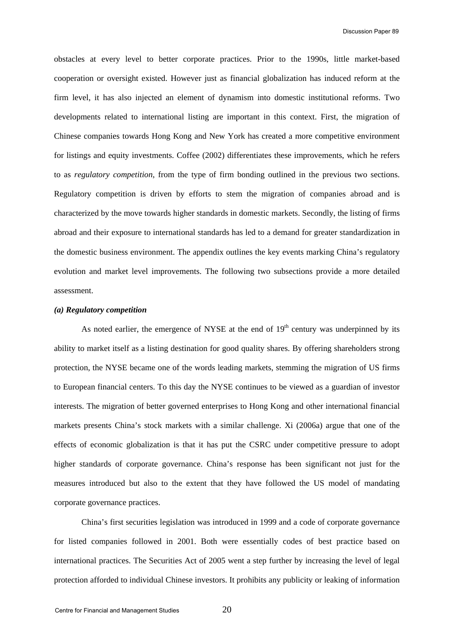obstacles at every level to better corporate practices. Prior to the 1990s, little market-based cooperation or oversight existed. However just as financial globalization has induced reform at the firm level, it has also injected an element of dynamism into domestic institutional reforms. Two developments related to international listing are important in this context. First, the migration of Chinese companies towards Hong Kong and New York has created a more competitive environment for listings and equity investments. Coffee (2002) differentiates these improvements, which he refers to as *regulatory competition*, from the type of firm bonding outlined in the previous two sections. Regulatory competition is driven by efforts to stem the migration of companies abroad and is characterized by the move towards higher standards in domestic markets. Secondly, the listing of firms abroad and their exposure to international standards has led to a demand for greater standardization in the domestic business environment. The appendix outlines the key events marking China's regulatory evolution and market level improvements. The following two subsections provide a more detailed assessment.

#### *(a) Regulatory competition*

As noted earlier, the emergence of NYSE at the end of  $19<sup>th</sup>$  century was underpinned by its ability to market itself as a listing destination for good quality shares. By offering shareholders strong protection, the NYSE became one of the words leading markets, stemming the migration of US firms to European financial centers. To this day the NYSE continues to be viewed as a guardian of investor interests. The migration of better governed enterprises to Hong Kong and other international financial markets presents China's stock markets with a similar challenge. Xi (2006a) argue that one of the effects of economic globalization is that it has put the CSRC under competitive pressure to adopt higher standards of corporate governance. China's response has been significant not just for the measures introduced but also to the extent that they have followed the US model of mandating corporate governance practices.

China's first securities legislation was introduced in 1999 and a code of corporate governance for listed companies followed in 2001. Both were essentially codes of best practice based on international practices. The Securities Act of 2005 went a step further by increasing the level of legal protection afforded to individual Chinese investors. It prohibits any publicity or leaking of information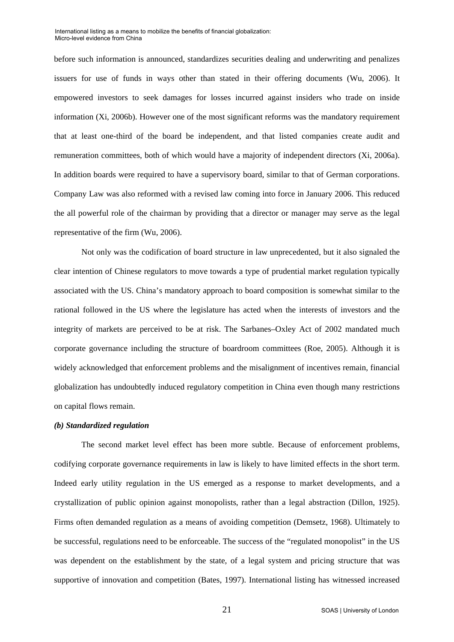International listing as a means to mobilize the benefits of financial globalization: Micro-level evidence from China

before such information is announced, standardizes securities dealing and underwriting and penalizes issuers for use of funds in ways other than stated in their offering documents (Wu, 2006). It empowered investors to seek damages for losses incurred against insiders who trade on inside information (Xi, 2006b). However one of the most significant reforms was the mandatory requirement that at least one-third of the board be independent, and that listed companies create audit and remuneration committees, both of which would have a majority of independent directors (Xi, 2006a). In addition boards were required to have a supervisory board, similar to that of German corporations. Company Law was also reformed with a revised law coming into force in January 2006. This reduced the all powerful role of the chairman by providing that a director or manager may serve as the legal representative of the firm (Wu, 2006).

Not only was the codification of board structure in law unprecedented, but it also signaled the clear intention of Chinese regulators to move towards a type of prudential market regulation typically associated with the US. China's mandatory approach to board composition is somewhat similar to the rational followed in the US where the legislature has acted when the interests of investors and the integrity of markets are perceived to be at risk. The Sarbanes–Oxley Act of 2002 mandated much corporate governance including the structure of boardroom committees (Roe, 2005). Although it is widely acknowledged that enforcement problems and the misalignment of incentives remain, financial globalization has undoubtedly induced regulatory competition in China even though many restrictions on capital flows remain.

#### *(b) Standardized regulation*

The second market level effect has been more subtle. Because of enforcement problems, codifying corporate governance requirements in law is likely to have limited effects in the short term. Indeed early utility regulation in the US emerged as a response to market developments, and a crystallization of public opinion against monopolists, rather than a legal abstraction (Dillon, 1925). Firms often demanded regulation as a means of avoiding competition (Demsetz, 1968). Ultimately to be successful, regulations need to be enforceable. The success of the "regulated monopolist" in the US was dependent on the establishment by the state, of a legal system and pricing structure that was supportive of innovation and competition (Bates, 1997). International listing has witnessed increased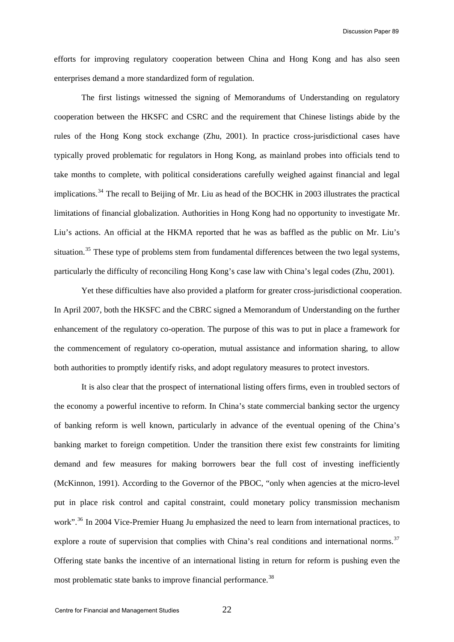Discussion Paper 89

efforts for improving regulatory cooperation between China and Hong Kong and has also seen enterprises demand a more standardized form of regulation.

The first listings witnessed the signing of Memorandums of Understanding on regulatory cooperation between the HKSFC and CSRC and the requirement that Chinese listings abide by the rules of the Hong Kong stock exchange (Zhu, 2001). In practice cross-jurisdictional cases have typically proved problematic for regulators in Hong Kong, as mainland probes into officials tend to take months to complete, with political considerations carefully weighed against financial and legal implications.[34](#page-36-1) The recall to Beijing of Mr. Liu as head of the BOCHK in 2003 illustrates the practical limitations of financial globalization. Authorities in Hong Kong had no opportunity to investigate Mr. Liu's actions. An official at the HKMA reported that he was as baffled as the public on Mr. Liu's situation.<sup>[35](#page-36-1)</sup> These type of problems stem from fundamental differences between the two legal systems, particularly the difficulty of reconciling Hong Kong's case law with China's legal codes (Zhu, 2001).

Yet these difficulties have also provided a platform for greater cross-jurisdictional cooperation. In April 2007, both the HKSFC and the CBRC signed a Memorandum of Understanding on the further enhancement of the regulatory co-operation. The purpose of this was to put in place a framework for the commencement of regulatory co-operation, mutual assistance and information sharing, to allow both authorities to promptly identify risks, and adopt regulatory measures to protect investors.

It is also clear that the prospect of international listing offers firms, even in troubled sectors of the economy a powerful incentive to reform. In China's state commercial banking sector the urgency of banking reform is well known, particularly in advance of the eventual opening of the China's banking market to foreign competition. Under the transition there exist few constraints for limiting demand and few measures for making borrowers bear the full cost of investing inefficiently (McKinnon, 1991). According to the Governor of the PBOC, "only when agencies at the micro-level put in place risk control and capital constraint, could monetary policy transmission mechanism work".<sup>[36](#page-36-1)</sup> In 2004 Vice-Premier Huang Ju emphasized the need to learn from international practices, to explore a route of supervision that complies with China's real conditions and international norms.<sup>[37](#page-36-1)</sup> Offering state banks the incentive of an international listing in return for reform is pushing even the most problematic state banks to improve financial performance.<sup>[38](#page-36-1)</sup>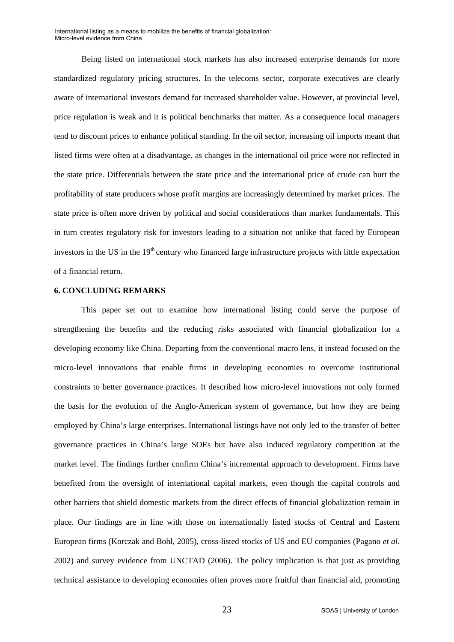International listing as a means to mobilize the benefits of financial globalization: Micro-level evidence from China

Being listed on international stock markets has also increased enterprise demands for more standardized regulatory pricing structures. In the telecoms sector, corporate executives are clearly aware of international investors demand for increased shareholder value. However, at provincial level, price regulation is weak and it is political benchmarks that matter. As a consequence local managers tend to discount prices to enhance political standing. In the oil sector, increasing oil imports meant that listed firms were often at a disadvantage, as changes in the international oil price were not reflected in the state price. Differentials between the state price and the international price of crude can hurt the profitability of state producers whose profit margins are increasingly determined by market prices. The state price is often more driven by political and social considerations than market fundamentals. This in turn creates regulatory risk for investors leading to a situation not unlike that faced by European investors in the US in the 19<sup>th</sup> century who financed large infrastructure projects with little expectation of a financial return.

#### **6. CONCLUDING REMARKS**

This paper set out to examine how international listing could serve the purpose of strengthening the benefits and the reducing risks associated with financial globalization for a developing economy like China. Departing from the conventional macro lens, it instead focused on the micro-level innovations that enable firms in developing economies to overcome institutional constraints to better governance practices. It described how micro-level innovations not only formed the basis for the evolution of the Anglo-American system of governance, but how they are being employed by China's large enterprises. International listings have not only led to the transfer of better governance practices in China's large SOEs but have also induced regulatory competition at the market level. The findings further confirm China's incremental approach to development. Firms have benefited from the oversight of international capital markets, even though the capital controls and other barriers that shield domestic markets from the direct effects of financial globalization remain in place. Our findings are in line with those on internationally listed stocks of Central and Eastern European firms (Korczak and Bohl, 2005), cross-listed stocks of US and EU companies (Pagano *et al*. 2002) and survey evidence from UNCTAD (2006). The policy implication is that just as providing technical assistance to developing economies often proves more fruitful than financial aid, promoting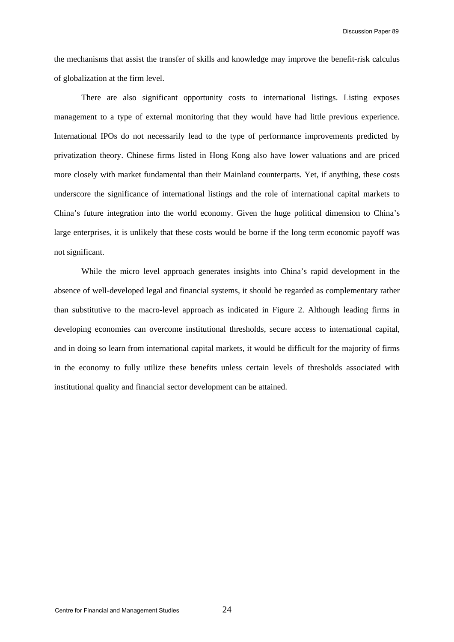the mechanisms that assist the transfer of skills and knowledge may improve the benefit-risk calculus of globalization at the firm level.

There are also significant opportunity costs to international listings. Listing exposes management to a type of external monitoring that they would have had little previous experience. International IPOs do not necessarily lead to the type of performance improvements predicted by privatization theory. Chinese firms listed in Hong Kong also have lower valuations and are priced more closely with market fundamental than their Mainland counterparts. Yet, if anything, these costs underscore the significance of international listings and the role of international capital markets to China's future integration into the world economy. Given the huge political dimension to China's large enterprises, it is unlikely that these costs would be borne if the long term economic payoff was not significant.

While the micro level approach generates insights into China's rapid development in the absence of well-developed legal and financial systems, it should be regarded as complementary rather than substitutive to the macro-level approach as indicated in Figure 2. Although leading firms in developing economies can overcome institutional thresholds, secure access to international capital, and in doing so learn from international capital markets, it would be difficult for the majority of firms in the economy to fully utilize these benefits unless certain levels of thresholds associated with institutional quality and financial sector development can be attained.

24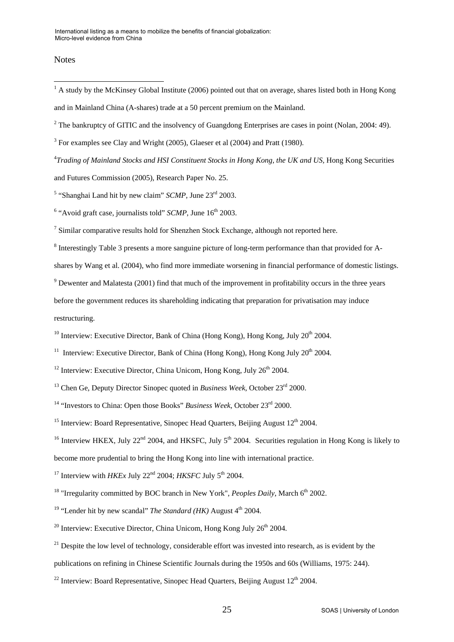International listing as a means to mobilize the benefits of financial globalization: Micro-level evidence from China

#### **Notes**

<sup>1</sup> A study by the McKinsey Global Institute (2006) pointed out that on average, shares listed both in Hong Kong and in Mainland China (A-shares) trade at a 50 percent premium on the Mainland.

<sup>4</sup>Trading of Mainland Stocks and HSI Constituent Stocks in Hong Kong, the UK and US, Hong Kong Securities and Futures Commission (2005), Research Paper No. 25.

<sup>5</sup> "Shanghai Land hit by new claim" *SCMP*, June 23<sup>rd</sup> 2003.

 $6$  "Avoid graft case, journalists told" *SCMP*, June  $16<sup>th</sup>$  2003.

 $7$  Similar comparative results hold for Shenzhen Stock Exchange, although not reported here.

<sup>8</sup> Interestingly Table 3 presents a more sanguine picture of long-term performance than that provided for A-

shares by Wang et al. (2004), who find more immediate worsening in financial performance of domestic listings.

<sup>9</sup> Dewenter and Malatesta (2001) find that much of the improvement in profitability occurs in the three years

before the government reduces its shareholding indicating that preparation for privatisation may induce

restructuring.

 $10$  Interview: Executive Director, Bank of China (Hong Kong), Hong Kong, July 20<sup>th</sup> 2004.

<sup>11</sup> Interview: Executive Director, Bank of China (Hong Kong), Hong Kong July  $20^{th}$  2004.

 $12$  Interview: Executive Director, China Unicom, Hong Kong, July  $26<sup>th</sup> 2004$ .

<sup>16</sup> Interview HKEX, July 22<sup>nd</sup> 2004, and HKSFC, July 5<sup>th</sup> 2004. Securities regulation in Hong Kong is likely to become more prudential to bring the Hong Kong into line with international practice.

<sup>17</sup> Interview with *HKEx* July  $22<sup>nd</sup>$  2004; *HKSFC* July  $5<sup>th</sup>$  2004.

<sup>18</sup> "Irregularity committed by BOC branch in New York", *Peoples Daily*, March 6<sup>th</sup> 2002.

<sup>&</sup>lt;sup>2</sup> The bankruptcy of GITIC and the insolvency of Guangdong Enterprises are cases in point (Nolan, 2004: 49).

 $3$  For examples see Clay and Wright (2005), Glaeser et al (2004) and Pratt (1980).

<sup>&</sup>lt;sup>13</sup> Chen Ge, Deputy Director Sinopec quoted in *Business Week*, October 23<sup>rd</sup> 2000.

<sup>14 &</sup>quot;Investors to China: Open those Books" *Business Week*, October 23rd 2000.

<sup>&</sup>lt;sup>15</sup> Interview: Board Representative, Sinopec Head Quarters, Beijing August  $12<sup>th</sup> 2004$ .

<sup>&</sup>lt;sup>19</sup> "Lender hit by new scandal" *The Standard (HK)* August  $4^{th}$  2004.

 $^{20}$  Interview: Executive Director, China Unicom, Hong Kong July 26<sup>th</sup> 2004.

 $21$  Despite the low level of technology, considerable effort was invested into research, as is evident by the

publications on refining in Chinese Scientific Journals during the 1950s and 60s (Williams, 1975: 244).

 $22$  Interview: Board Representative, Sinopec Head Quarters, Beijing August 12<sup>th</sup> 2004.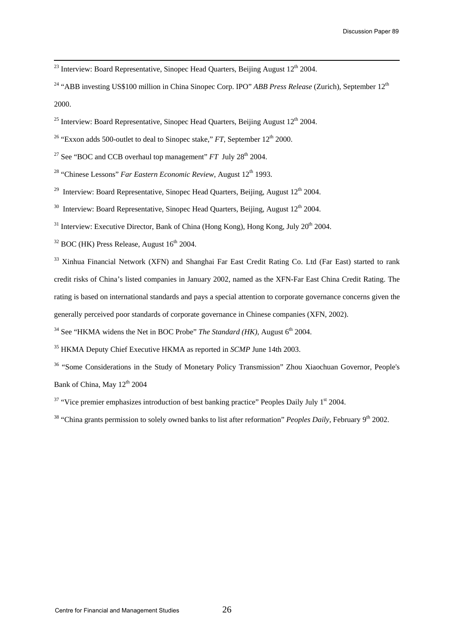$^{23}$  Interview: Board Representative, Sinopec Head Quarters, Beijing August 12<sup>th</sup> 2004.

<sup>24</sup> "ABB investing US\$100 million in China Sinopec Corp. IPO" *ABB Press Release* (Zurich), September 12<sup>th</sup> 2000.

<sup>25</sup> Interview: Board Representative, Sinopec Head Quarters, Beijing August  $12<sup>th</sup>$  2004.

<sup>26</sup> "Exxon adds 500-outlet to deal to Sinopec stake,"  $FT$ , September 12<sup>th</sup> 2000.

<sup>27</sup> See "BOC and CCB overhaul top management"  $FT$  July 28<sup>th</sup> 2004.

<sup>28</sup> "Chinese Lessons" *Far Eastern Economic Review*, August 12<sup>th</sup> 1993.

<sup>29</sup> Interview: Board Representative, Sinopec Head Quarters, Beijing, August  $12<sup>th</sup>$  2004.

 $30$  Interview: Board Representative, Sinopec Head Quarters, Beijing, August  $12<sup>th</sup>$  2004.

 $31$  Interview: Executive Director, Bank of China (Hong Kong), Hong Kong, July  $20^{th}$  2004.

 $32$  BOC (HK) Press Release, August  $16<sup>th</sup>$  2004.

<sup>33</sup> Xinhua Financial Network (XFN) and Shanghai Far East Credit Rating Co. Ltd (Far East) started to rank credit risks of China's listed companies in January 2002, named as the XFN-Far East China Credit Rating. The rating is based on international standards and pays a special attention to corporate governance concerns given the generally perceived poor standards of corporate governance in Chinese companies (XFN, 2002).

<sup>34</sup> See "HKMA widens the Net in BOC Probe" *The Standard (HK)*. August  $6<sup>th</sup>$  2004.

35 HKMA Deputy Chief Executive HKMA as reported in *SCMP* June 14th 2003.

<sup>36</sup> "Some Considerations in the Study of Monetary Policy Transmission" Zhou Xiaochuan Governor, People's Bank of China, May 12<sup>th</sup> 2004

 $37$  "Vice premier emphasizes introduction of best banking practice" Peoples Daily July  $1<sup>st</sup> 2004$ .

<sup>38</sup> "China grants permission to solely owned banks to list after reformation" *Peoples Daily*, February 9<sup>th</sup> 2002.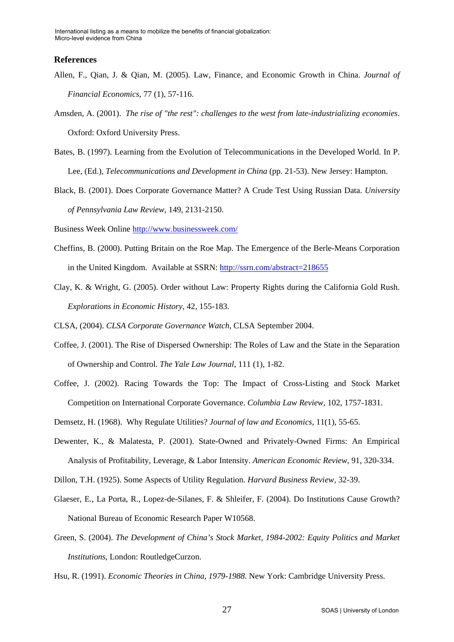#### **References**

- Allen, F., Qian, J. & Qian, M. (2005). Law, Finance, and Economic Growth in China. *Journal of Financial Economics*, 77 (1), 57-116.
- Amsden, A. (2001). *The rise of "the rest": challenges to the west from late-industrializing economies*. Oxford: Oxford University Press.
- Bates, B. (1997). Learning from the Evolution of Telecommunications in the Developed World. In P. Lee, (Ed.), *Telecommunications and Development in China* (pp. 21-53). New Jersey: Hampton.
- Black, B. (2001). Does Corporate Governance Matter? A Crude Test Using Russian Data. *University of Pennsylvania Law Review*, 149, 2131-2150.
- Business Week Online <http://www.businessweek.com/>
- Cheffins, B. (2000). Putting Britain on the Roe Map. The Emergence of the Berle-Means Corporation in the United Kingdom. Available at SSRN:<http://ssrn.com/abstract=218655>
- Clay, K. & Wright, G. (2005). Order without Law: Property Rights during the California Gold Rush. *Explorations in Economic History*, 42, 155-183.
- CLSA, (2004). *CLSA Corporate Governance Watch*, CLSA September 2004.
- Coffee, J. (2001). The Rise of Dispersed Ownership: The Roles of Law and the State in the Separation of Ownership and Control. *The Yale Law Journal*, 111 (1), 1-82.
- Coffee, J. (2002). Racing Towards the Top: The Impact of Cross-Listing and Stock Market Competition on International Corporate Governance. *Columbia Law Review*, 102, 1757-1831.
- Demsetz, H. (1968). Why Regulate Utilities? *Journal of law and Economics*, 11(1), 55-65.
- Dewenter, K., & Malatesta, P. (2001). State-Owned and Privately-Owned Firms: An Empirical Analysis of Profitability, Leverage, & Labor Intensity. *American Economic Review*, 91, 320-334.
- Dillon, T.H. (1925). Some Aspects of Utility Regulation. *Harvard Business Review*, 32-39.
- Glaeser, E., La Porta, R., Lopez-de-Silanes, F. & Shleifer, F. (2004). Do Institutions Cause Growth? National Bureau of Economic Research Paper W10568.
- Green, S. (2004). *The Development of China's Stock Market, 1984-2002: Equity Politics and Market Institutions*, London: RoutledgeCurzon.
- Hsu, R. (1991). *Economic Theories in China, 1979-1988*. New York: Cambridge University Press.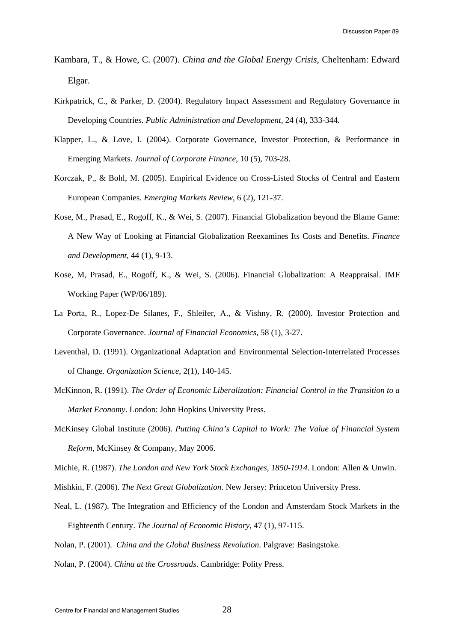- Kambara, T., & Howe, C. (2007). *China and the Global Energy Crisis*, Cheltenham: Edward Elgar.
- Kirkpatrick, C., & Parker, D. (2004). Regulatory Impact Assessment and Regulatory Governance in Developing Countries. *Public Administration and Development*, 24 (4), 333-344.
- Klapper, L., & Love, I. (2004). Corporate Governance, Investor Protection, & Performance in Emerging Markets. *Journal of Corporate Finance*, 10 (5), 703-28.
- Korczak, P., & Bohl, M. (2005). Empirical Evidence on Cross-Listed Stocks of Central and Eastern European Companies. *Emerging Markets Review*, 6 (2), 121-37.
- Kose, M., Prasad, E., Rogoff, K., & Wei, S. (2007). Financial Globalization beyond the Blame Game: A New Way of Looking at Financial Globalization Reexamines Its Costs and Benefits. *Finance and Development*, 44 (1), 9-13.
- Kose, M, Prasad, E., Rogoff, K., & Wei, S. (2006). Financial Globalization: A Reappraisal. IMF Working Paper (WP/06/189).
- La Porta, R., Lopez-De Silanes, F., Shleifer, A., & Vishny, R. (2000). Investor Protection and Corporate Governance. *Journal of Financial Economics*, 58 (1), 3-27.
- Leventhal, D. (1991). Organizational Adaptation and Environmental Selection-Interrelated Processes of Change. *Organization Science*, 2(1), 140-145.
- McKinnon, R. (1991). *The Order of Economic Liberalization: Financial Control in the Transition to a Market Economy*. London: John Hopkins University Press.
- McKinsey Global Institute (2006). *Putting China's Capital to Work: The Value of Financial System Reform*, McKinsey & Company, May 2006.

Michie, R. (1987). *The London and New York Stock Exchanges, 1850-1914*. London: Allen & Unwin.

- Mishkin, F. (2006). *The Next Great Globalization*. New Jersey: Princeton University Press.
- Neal, L. (1987). The Integration and Efficiency of the London and Amsterdam Stock Markets in the Eighteenth Century. *The Journal of Economic History*, 47 (1), 97-115.

Nolan, P. (2001). *China and the Global Business Revolution*. Palgrave: Basingstoke.

Nolan, P. (2004). *China at the Crossroads*. Cambridge: Polity Press.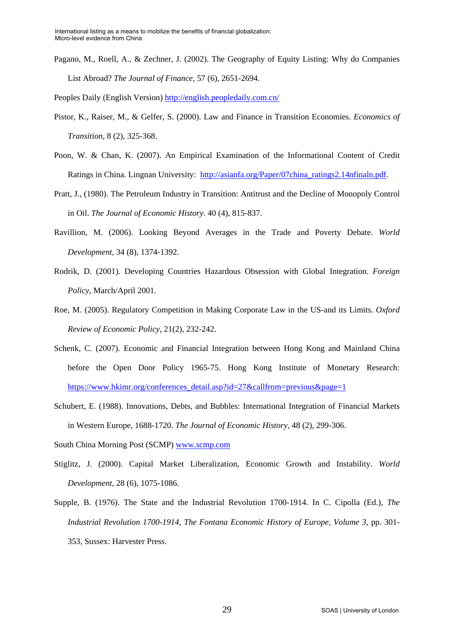Pagano, M., Roell, A., & Zechner, J. (2002). The Geography of Equity Listing: Why do Companies List Abroad? *The Journal of Finance*, 57 (6), 2651-2694.

Peoples Daily (English Version)<http://english.peopledaily.com.cn/>

- Pistor, K., Raiser, M., & Gelfer, S. (2000). Law and Finance in Transition Economies. *Economics of Transition*, 8 (2), 325-368.
- Poon, W. & Chan, K. (2007). An Empirical Examination of the Informational Content of Credit Ratings in China. Lingnan University: [http://asianfa.org/Paper/07china\\_ratings2.14nfinaln.pdf.](http://asianfa.org/Paper/07china_ratings2.14nfinaln.pdf)
- Pratt, J., (1980). The Petroleum Industry in Transition: Antitrust and the Decline of Monopoly Control in Oil. *The Journal of Economic History*. 40 (4), 815-837.
- Ravillion, M. (2006). Looking Beyond Averages in the Trade and Poverty Debate. *World Development,* 34 (8), 1374-1392.
- Rodrik, D. (2001). Developing Countries Hazardous Obsession with Global Integration. *Foreign Policy*, March/April 2001.
- Roe, M. (2005). Regulatory Competition in Making Corporate Law in the US-and its Limits. *Oxford Review of Economic Policy*, 21(2), 232-242.
- Schenk, C. (2007). Economic and Financial Integration between Hong Kong and Mainland China before the Open Door Policy 1965-75. Hong Kong Institute of Monetary Research: [https://www.hkimr.org/conferences\\_detail.asp?id=27&callfrom=previous&page=1](https://www.hkimr.org/conferences_detail.asp?id=27&callfrom=previous&page=1)
- Schubert, E. (1988). Innovations, Debts, and Bubbles: International Integration of Financial Markets in Western Europe, 1688-1720. *The Journal of Economic History,* 48 (2), 299-306.

South China Morning Post (SCMP) [www.scmp.com](http://www.scmp.com/)

- Stiglitz, J. (2000). Capital Market Liberalization, Economic Growth and Instability. *World Development*, 28 (6), 1075-1086.
- Supple, B. (1976). The State and the Industrial Revolution 1700-1914. In C. Cipolla (Ed.), *The Industrial Revolution 1700-1914, The Fontana Economic History of Europe, Volume 3*, pp. 301- 353, Sussex: Harvester Press.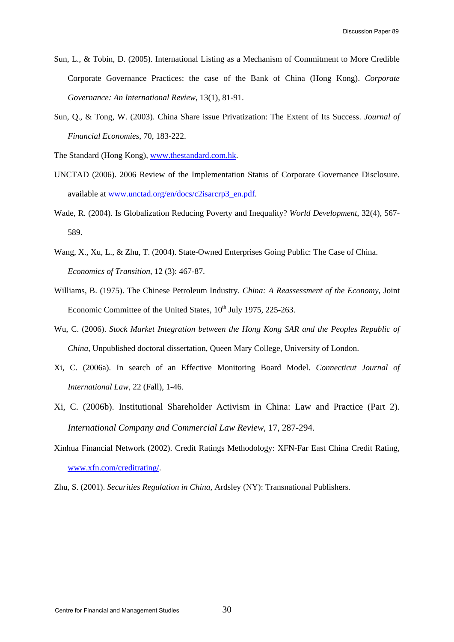- Sun, L., & Tobin, D. (2005). International Listing as a Mechanism of Commitment to More Credible Corporate Governance Practices: the case of the Bank of China (Hong Kong). *Corporate Governance: An International Review*, 13(1), 81-91.
- Sun, Q., & Tong, W. (2003). China Share issue Privatization: The Extent of Its Success. *Journal of Financial Economies*, 70, 183-222.

The Standard (Hong Kong), [www.thestandard.com.hk.](http://www.thestandard.com.hk/)

- UNCTAD (2006). 2006 Review of the Implementation Status of Corporate Governance Disclosure. available at [www.unctad.org/en/docs/c2isarcrp3\\_en.pdf](http://www.unctad.org/en/docs/c2isarcrp3_en.pdf).
- Wade, R. (2004). Is Globalization Reducing Poverty and Inequality? *World Development*, 32(4), 567- 589.
- Wang, X., Xu, L., & Zhu, T. (2004). State-Owned Enterprises Going Public: The Case of China. *Economics of Transition*, 12 (3): 467-87.
- Williams, B. (1975). The Chinese Petroleum Industry. *China: A Reassessment of the Economy*, Joint Economic Committee of the United States,  $10^{th}$  July 1975, 225-263.
- Wu, C. (2006). *Stock Market Integration between the Hong Kong SAR and the Peoples Republic of China*, Unpublished doctoral dissertation, Queen Mary College, University of London.
- Xi, C. (2006a). In search of an Effective Monitoring Board Model. *Connecticut Journal of International Law*, 22 (Fall), 1-46.
- Xi, C. (2006b). Institutional Shareholder Activism in China: Law and Practice (Part 2). *International Company and Commercial Law Review*, 17, 287-294.
- Xinhua Financial Network (2002). Credit Ratings Methodology: XFN-Far East China Credit Rating, [www.xfn.com/creditrating/.](http://www.xfn.com/creditrating/)

Zhu, S. (2001). *Securities Regulation in China*, Ardsley (NY): Transnational Publishers.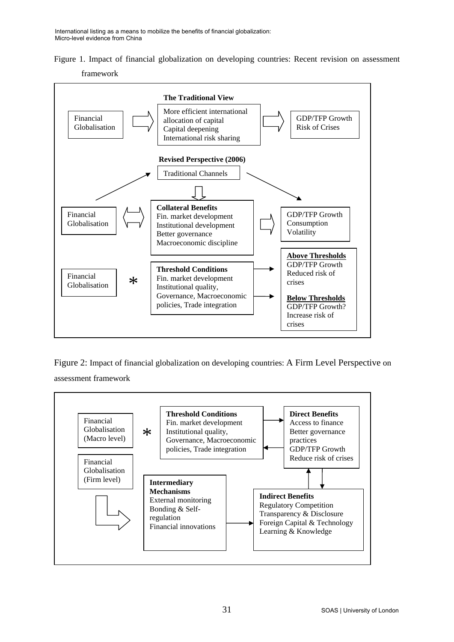



Figure 2: Impact of financial globalization on developing countries: A Firm Level Perspective on assessment framework

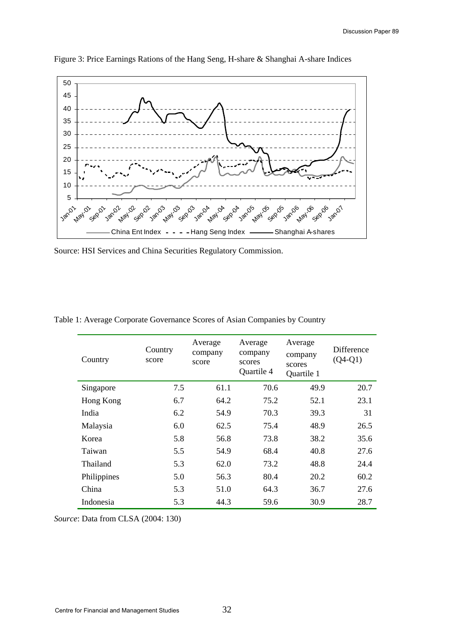

Figure 3: Price Earnings Rations of the Hang Seng, H-share & Shanghai A-share Indices

Source: HSI Services and China Securities Regulatory Commission.

| Country     | Country<br>score | Average<br>company<br>score | Average<br>company<br>scores<br>Quartile 4 | Average<br>company<br>scores<br>Quartile 1 | Difference<br>$(Q4-Q1)$ |
|-------------|------------------|-----------------------------|--------------------------------------------|--------------------------------------------|-------------------------|
| Singapore   | 7.5              | 61.1                        | 70.6                                       | 49.9                                       | 20.7                    |
| Hong Kong   | 6.7              | 64.2                        | 75.2                                       | 52.1                                       | 23.1                    |
| India       | 6.2              | 54.9                        | 70.3                                       | 39.3                                       | 31                      |
| Malaysia    | 6.0              | 62.5                        | 75.4                                       | 48.9                                       | 26.5                    |
| Korea       | 5.8              | 56.8                        | 73.8                                       | 38.2                                       | 35.6                    |
| Taiwan      | 5.5              | 54.9                        | 68.4                                       | 40.8                                       | 27.6                    |
| Thailand    | 5.3              | 62.0                        | 73.2                                       | 48.8                                       | 24.4                    |
| Philippines | 5.0              | 56.3                        | 80.4                                       | 20.2                                       | 60.2                    |
| China       | 5.3              | 51.0                        | 64.3                                       | 36.7                                       | 27.6                    |
| Indonesia   | 5.3              | 44.3                        | 59.6                                       | 30.9                                       | 28.7                    |

Table 1: Average Corporate Governance Scores of Asian Companies by Country

*Source*: Data from CLSA (2004: 130)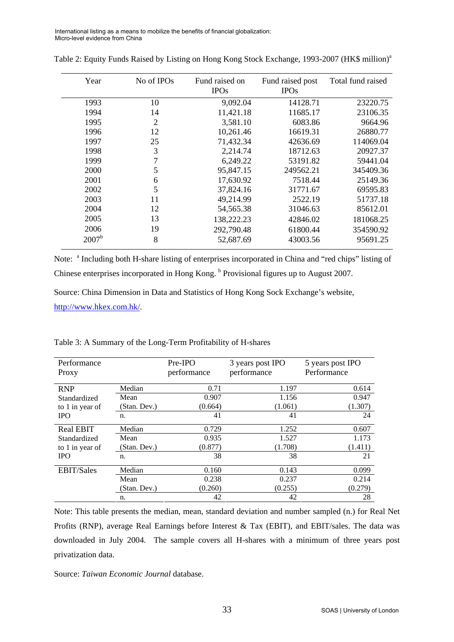International listing as a means to mobilize the benefits of financial globalization: Micro-level evidence from China

| Year           | No of IPOs | Fund raised on<br><b>IPOs</b> | Fund raised post<br><b>IPOs</b> | Total fund raised |
|----------------|------------|-------------------------------|---------------------------------|-------------------|
| 1993           | 10         | 9,092.04                      | 14128.71                        | 23220.75          |
| 1994           | 14         | 11,421.18                     | 11685.17                        | 23106.35          |
| 1995           | 2          | 3,581.10                      | 6083.86                         | 9664.96           |
| 1996           | 12         | 10,261.46                     | 16619.31                        | 26880.77          |
| 1997           | 25         | 71,432.34                     | 42636.69                        | 114069.04         |
| 1998           | 3          | 2,214.74                      | 18712.63                        | 20927.37          |
| 1999           |            | 6,249.22                      | 53191.82                        | 59441.04          |
| 2000           | 5          | 95,847.15                     | 249562.21                       | 345409.36         |
| 2001           | 6          | 17,630.92                     | 7518.44                         | 25149.36          |
| 2002           | 5          | 37,824.16                     | 31771.67                        | 69595.83          |
| 2003           | 11         | 49,214.99                     | 2522.19                         | 51737.18          |
| 2004           | 12         | 54, 565. 38                   | 31046.63                        | 85612.01          |
| 2005           | 13         | 138,222.23                    | 42846.02                        | 181068.25         |
| 2006           | 19         | 292,790.48                    | 61800.44                        | 354590.92         |
| $2007^{\rm b}$ | 8          | 52,687.69                     | 43003.56                        | 95691.25          |

| Table 2: Equity Funds Raised by Listing on Hong Kong Stock Exchange, 1993-2007 (HK\$ million) <sup>a</sup> |  |  |
|------------------------------------------------------------------------------------------------------------|--|--|
|                                                                                                            |  |  |

Note: <sup>a</sup> Including both H-share listing of enterprises incorporated in China and "red chips" listing of Chinese enterprises incorporated in Hong Kong. <sup>b</sup> Provisional figures up to August 2007.

Source: China Dimension in Data and Statistics of Hong Kong Sock Exchange's website,

[http://www.hkex.com.hk/.](http://www.hkex.com.hk/)

| Performance<br>Proxy |              | Pre-IPO<br>performance | 3 years post IPO<br>performance | 5 years post IPO<br>Performance |
|----------------------|--------------|------------------------|---------------------------------|---------------------------------|
| <b>RNP</b>           | Median       | 0.71                   | 1.197                           | 0.614                           |
| Standardized         | Mean         | 0.907                  | 1.156                           | 0.947                           |
| to 1 in year of      | (Stan. Dev.) | (0.664)                | (1.061)                         | (1.307)                         |
| <b>IPO</b>           | n.           | 41                     | 41                              | 24                              |
| <b>Real EBIT</b>     | Median       | 0.729                  | 1.252                           | 0.607                           |
| Standardized         | Mean         | 0.935                  | 1.527                           | 1.173                           |
| to 1 in year of      | (Stan. Dev.) | (0.877)                | (1.708)                         | (1.411)                         |
| <b>IPO</b>           | n.           | 38                     | 38                              | 21                              |
| <b>EBIT/Sales</b>    | Median       | 0.160                  | 0.143                           | 0.099                           |
|                      | Mean         | 0.238                  | 0.237                           | 0.214                           |
|                      | (Stan. Dev.) | (0.260)                | (0.255)                         | (0.279)                         |
|                      | n.           | 42                     | 42                              | 28                              |

Table 3: A Summary of the Long-Term Profitability of H-shares

Note: This table presents the median, mean, standard deviation and number sampled (n.) for Real Net Profits (RNP), average Real Earnings before Interest & Tax (EBIT), and EBIT/sales. The data was downloaded in July 2004. The sample covers all H-shares with a minimum of three years post privatization data.

Source: *Taiwan Economic Journal* database.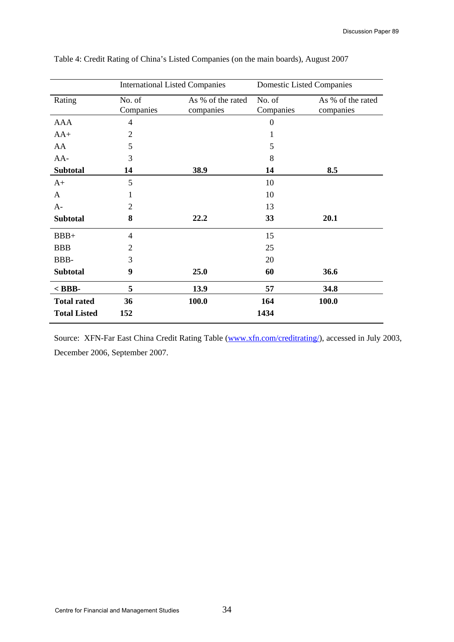|                     | <b>International Listed Companies</b> |                   | <b>Domestic Listed Companies</b> |                   |
|---------------------|---------------------------------------|-------------------|----------------------------------|-------------------|
| Rating              | No. of                                | As % of the rated | No. of                           | As % of the rated |
|                     | Companies                             | companies         | Companies                        | companies         |
| AAA                 | 4                                     |                   | $\boldsymbol{0}$                 |                   |
| $AA+$               | $\overline{2}$                        |                   | 1                                |                   |
| AA                  | 5                                     |                   | 5                                |                   |
| $AA-$               | 3                                     |                   | 8                                |                   |
| <b>Subtotal</b>     | 14                                    | 38.9              | 14                               | 8.5               |
| $A+$                | 5                                     |                   | 10                               |                   |
| $\mathbf{A}$        | 1                                     |                   | 10                               |                   |
| $A-$                | $\overline{2}$                        |                   | 13                               |                   |
| <b>Subtotal</b>     | 8                                     | 22.2              | 33                               | 20.1              |
| $BBB+$              | $\overline{4}$                        |                   | 15                               |                   |
| <b>BBB</b>          | $\overline{2}$                        |                   | 25                               |                   |
| BBB-                | 3                                     |                   | 20                               |                   |
| <b>Subtotal</b>     | 9                                     | 25.0              | 60                               | 36.6              |
| $<$ BBB-            | 5                                     | 13.9              | 57                               | 34.8              |
| <b>Total rated</b>  | 36                                    | 100.0             | 164                              | 100.0             |
| <b>Total Listed</b> | 152                                   |                   | 1434                             |                   |

Table 4: Credit Rating of China's Listed Companies (on the main boards), August 2007

Source: XFN-Far East China Credit Rating Table [\(www.xfn.com/creditrating/\)](http://www.xfn.com/creditrating/), accessed in July 2003, December 2006, September 2007.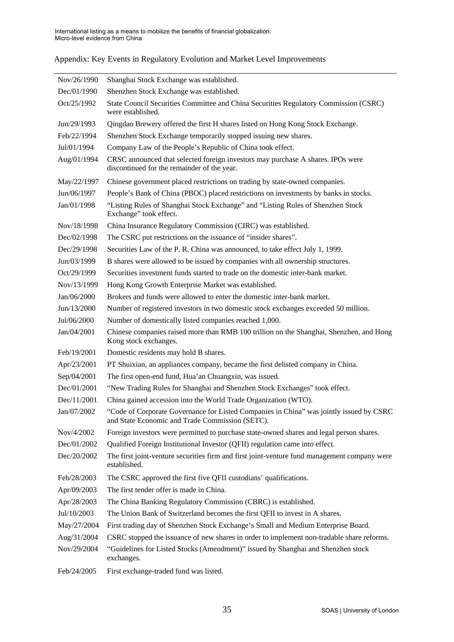| Nov/26/1990 | Shanghai Stock Exchange was established.                                                                                                   |
|-------------|--------------------------------------------------------------------------------------------------------------------------------------------|
| Dec/01/1990 | Shenzhen Stock Exchange was established.                                                                                                   |
| Oct/25/1992 | State Council Securities Committee and China Securities Regulatory Commission (CSRC)<br>were established.                                  |
| Jun/29/1993 | Qingdao Brewery offered the first H shares listed on Hong Kong Stock Exchange.                                                             |
| Feb/22/1994 | Shenzhen Stock Exchange temporarily stopped issuing new shares.                                                                            |
| Jul/01/1994 | Company Law of the People's Republic of China took effect.                                                                                 |
| Aug/01/1994 | CRSC announced that selected foreign investors may purchase A shares. IPOs were<br>discontinued for the remainder of the year.             |
| May/22/1997 | Chinese government placed restrictions on trading by state-owned companies.                                                                |
| Jun/06/1997 | People's Bank of China (PBOC) placed restrictions on investments by banks in stocks.                                                       |
| Jan/01/1998 | "Listing Rules of Shanghai Stock Exchange" and "Listing Rules of Shenzhen Stock<br>Exchange" took effect.                                  |
| Nov/18/1998 | China Insurance Regulatory Commission (CIRC) was established.                                                                              |
| Dec/02/1998 | The CSRC put restrictions on the issuance of "insider shares".                                                                             |
| Dec/29/1998 | Securities Law of the P. R. China was announced, to take effect July 1, 1999.                                                              |
| Jun/03/1999 | B shares were allowed to be issued by companies with all ownership structures.                                                             |
| Oct/29/1999 | Securities investment funds started to trade on the domestic inter-bank market.                                                            |
| Nov/13/1999 | Hong Kong Growth Enterprise Market was established.                                                                                        |
| Jan/06/2000 | Brokers and funds were allowed to enter the domestic inter-bank market.                                                                    |
| Jun/13/2000 | Number of registered investors in two domestic stock exchanges exceeded 50 million.                                                        |
| Jul/06/2000 | Number of domestically listed companies reached 1,000.                                                                                     |
| Jan/04/2001 | Chinese companies raised more than RMB 100 trillion on the Shanghai, Shenzhen, and Hong<br>Kong stock exchanges.                           |
| Feb/19/2001 | Domestic residents may hold B shares.                                                                                                      |
| Apr/23/2001 | PT Shuixian, an appliances company, became the first delisted company in China.                                                            |
| Sep/04/2001 | The first open-end fund, Hua'an Chuangxin, was issued.                                                                                     |
| Dec/01/2001 | "New Trading Rules for Shanghai and Shenzhen Stock Exchanges" took effect.                                                                 |
| Dec/11/2001 | China gained accession into the World Trade Organization (WTO).                                                                            |
| Jan/07/2002 | "Code of Corporate Governance for Listed Companies in China" was jointly issued by CSRC<br>and State Economic and Trade Commission (SETC). |
| Nov/4/2002  | Foreign investors were permitted to purchase state-owned shares and legal person shares.                                                   |
| Dec/01/2002 | Qualified Foreign Institutional Investor (QFII) regulation came into effect.                                                               |
| Dec/20/2002 | The first joint-venture securities firm and first joint-venture fund management company were<br>established.                               |
| Feb/28/2003 | The CSRC approved the first five QFII custodians' qualifications.                                                                          |
| Apr/09/2003 | The first tender offer is made in China.                                                                                                   |
| Apr/28/2003 | The China Banking Regulatory Commission (CBRC) is established.                                                                             |
| Jul/10/2003 | The Union Bank of Switzerland becomes the first QFII to invest in A shares.                                                                |
| May/27/2004 | First trading day of Shenzhen Stock Exchange's Small and Medium Enterprise Board.                                                          |
| Aug/31/2004 | CSRC stopped the issuance of new shares in order to implement non-tradable share reforms.                                                  |
| Nov/29/2004 | "Guidelines for Listed Stocks (Amendment)" issued by Shanghai and Shenzhen stock<br>exchanges.                                             |
| Feb/24/2005 | First exchange-traded fund was listed.                                                                                                     |

## Appendix: Key Events in Regulatory Evolution and Market Level Improvements